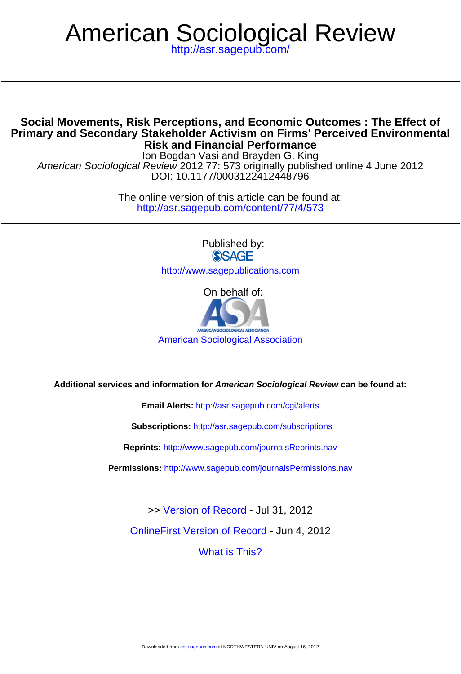# American Sociological Review

<http://asr.sagepub.com/>

## **Risk and Financial Performance Primary and Secondary Stakeholder Activism on Firms' Perceived Environmental Social Movements, Risk Perceptions, and Economic Outcomes : The Effect of**

DOI: 10.1177/0003122412448796 American Sociological Review 2012 77: 573 originally published online 4 June 2012 Ion Bogdan Vasi and Brayden G. King

> <http://asr.sagepub.com/content/77/4/573> The online version of this article can be found at:

> > Published by: **SSAGE** <http://www.sagepublications.com>

> > > On behalf of:



**Additional services and information for American Sociological Review can be found at:**

**Email Alerts:** <http://asr.sagepub.com/cgi/alerts>

**Subscriptions:** <http://asr.sagepub.com/subscriptions>

**Reprints:** <http://www.sagepub.com/journalsReprints.nav>

**Permissions:** <http://www.sagepub.com/journalsPermissions.nav>

[What is This?](http://online.sagepub.com/site/sphelp/vorhelp.xhtml) [OnlineFirst Version of Record -](http://asr.sagepub.com/content/early/2012/05/07/0003122412448796.full.pdf) Jun 4, 2012 >> [Version of Record -](http://asr.sagepub.com/content/77/4/573.full.pdf) Jul 31, 2012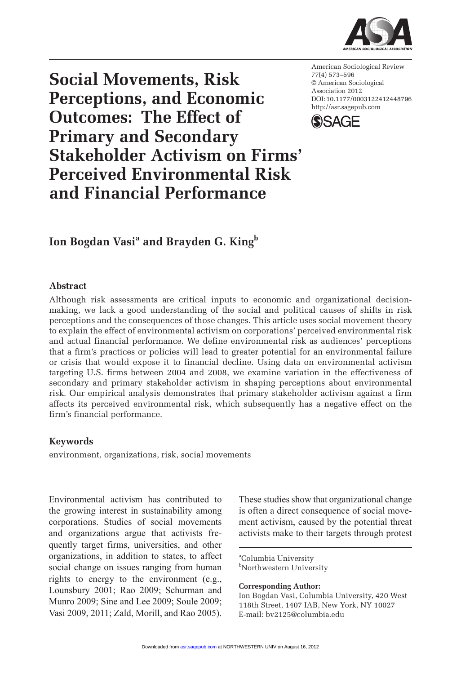

American Sociological Review 77(4) 573–596 © American Sociological Association 2012 DOI: 10.1177/0003122412448796 http://asr.sagepub.com



# **Social Movements, Risk Perceptions, and Economic Outcomes: The Effect of Primary and Secondary Stakeholder Activism on Firms' Perceived Environmental Risk and Financial Performance**

# Ion Bogdan Vasi<sup>a</sup> and Brayden G. King<sup>b</sup>

#### **Abstract**

Although risk assessments are critical inputs to economic and organizational decisionmaking, we lack a good understanding of the social and political causes of shifts in risk perceptions and the consequences of those changes. This article uses social movement theory to explain the effect of environmental activism on corporations' perceived environmental risk and actual financial performance. We define environmental risk as audiences' perceptions that a firm's practices or policies will lead to greater potential for an environmental failure or crisis that would expose it to financial decline. Using data on environmental activism targeting U.S. firms between 2004 and 2008, we examine variation in the effectiveness of secondary and primary stakeholder activism in shaping perceptions about environmental risk. Our empirical analysis demonstrates that primary stakeholder activism against a firm affects its perceived environmental risk, which subsequently has a negative effect on the firm's financial performance.

#### **Keywords**

environment, organizations, risk, social movements

Environmental activism has contributed to the growing interest in sustainability among corporations. Studies of social movements and organizations argue that activists frequently target firms, universities, and other organizations, in addition to states, to affect social change on issues ranging from human rights to energy to the environment (e.g., Lounsbury 2001; Rao 2009; Schurman and Munro 2009; Sine and Lee 2009; Soule 2009; Vasi 2009, 2011; Zald, Morill, and Rao 2005).

These studies show that organizational change is often a direct consequence of social movement activism, caused by the potential threat activists make to their targets through protest

<sup>a</sup>Columbia University b Northwestern University

**Corresponding Author:**

Ion Bogdan Vasi, Columbia University, 420 West 118th Street, 1407 IAB, New York, NY 10027 E-mail: bv2125@columbia.edu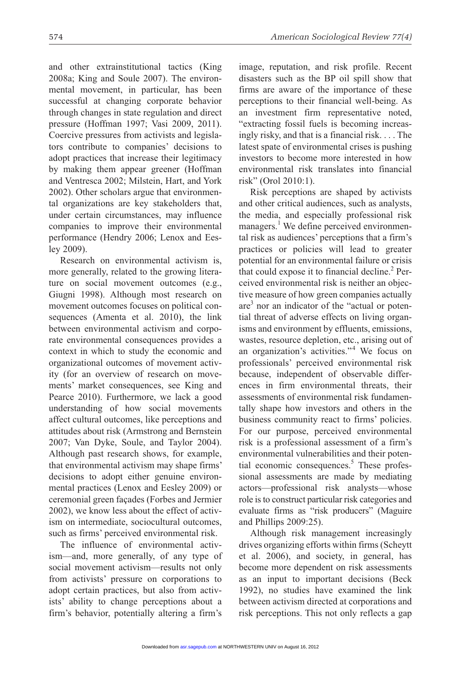and other extrainstitutional tactics (King 2008a; King and Soule 2007). The environmental movement, in particular, has been successful at changing corporate behavior through changes in state regulation and direct pressure (Hoffman 1997; Vasi 2009, 2011). Coercive pressures from activists and legislators contribute to companies' decisions to adopt practices that increase their legitimacy by making them appear greener (Hoffman and Ventresca 2002; Milstein, Hart, and York 2002). Other scholars argue that environmental organizations are key stakeholders that, under certain circumstances, may influence companies to improve their environmental performance (Hendry 2006; Lenox and Eesley 2009).

Research on environmental activism is, more generally, related to the growing literature on social movement outcomes (e.g., Giugni 1998). Although most research on movement outcomes focuses on political consequences (Amenta et al. 2010), the link between environmental activism and corporate environmental consequences provides a context in which to study the economic and organizational outcomes of movement activity (for an overview of research on movements' market consequences, see King and Pearce 2010). Furthermore, we lack a good understanding of how social movements affect cultural outcomes, like perceptions and attitudes about risk (Armstrong and Bernstein 2007; Van Dyke, Soule, and Taylor 2004). Although past research shows, for example, that environmental activism may shape firms' decisions to adopt either genuine environmental practices (Lenox and Eesley 2009) or ceremonial green façades (Forbes and Jermier 2002), we know less about the effect of activism on intermediate, sociocultural outcomes, such as firms' perceived environmental risk.

The influence of environmental activism—and, more generally, of any type of social movement activism—results not only from activists' pressure on corporations to adopt certain practices, but also from activists' ability to change perceptions about a firm's behavior, potentially altering a firm's

image, reputation, and risk profile. Recent disasters such as the BP oil spill show that firms are aware of the importance of these perceptions to their financial well-being. As an investment firm representative noted, "extracting fossil fuels is becoming increasingly risky, and that is a financial risk. . . . The latest spate of environmental crises is pushing investors to become more interested in how environmental risk translates into financial risk" (Orol 2010:1).

Risk perceptions are shaped by activists and other critical audiences, such as analysts, the media, and especially professional risk managers.<sup>1</sup> We define perceived environmental risk as audiences' perceptions that a firm's practices or policies will lead to greater potential for an environmental failure or crisis that could expose it to financial decline.<sup>2</sup> Perceived environmental risk is neither an objective measure of how green companies actually are<sup>3</sup> nor an indicator of the "actual or potential threat of adverse effects on living organisms and environment by effluents, emissions, wastes, resource depletion, etc., arising out of an organization's activities."<sup>4</sup> We focus on professionals' perceived environmental risk because, independent of observable differences in firm environmental threats, their assessments of environmental risk fundamentally shape how investors and others in the business community react to firms' policies. For our purpose, perceived environmental risk is a professional assessment of a firm's environmental vulnerabilities and their potential economic consequences.<sup>5</sup> These professional assessments are made by mediating actors—professional risk analysts—whose role is to construct particular risk categories and evaluate firms as "risk producers" (Maguire and Phillips 2009:25).

Although risk management increasingly drives organizing efforts within firms (Scheytt et al. 2006), and society, in general, has become more dependent on risk assessments as an input to important decisions (Beck 1992), no studies have examined the link between activism directed at corporations and risk perceptions. This not only reflects a gap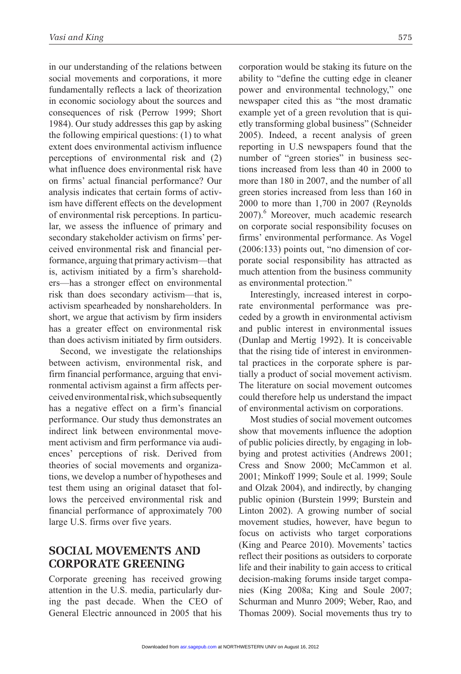in our understanding of the relations between social movements and corporations, it more fundamentally reflects a lack of theorization in economic sociology about the sources and consequences of risk (Perrow 1999; Short 1984). Our study addresses this gap by asking the following empirical questions: (1) to what extent does environmental activism influence perceptions of environmental risk and (2) what influence does environmental risk have on firms' actual financial performance? Our analysis indicates that certain forms of activism have different effects on the development of environmental risk perceptions. In particular, we assess the influence of primary and secondary stakeholder activism on firms' perceived environmental risk and financial performance, arguing that primary activism—that is, activism initiated by a firm's shareholders—has a stronger effect on environmental risk than does secondary activism—that is, activism spearheaded by nonshareholders. In short, we argue that activism by firm insiders has a greater effect on environmental risk than does activism initiated by firm outsiders.

Second, we investigate the relationships between activism, environmental risk, and firm financial performance, arguing that environmental activism against a firm affects perceived environmental risk, which subsequently has a negative effect on a firm's financial performance. Our study thus demonstrates an indirect link between environmental movement activism and firm performance via audiences' perceptions of risk. Derived from theories of social movements and organizations, we develop a number of hypotheses and test them using an original dataset that follows the perceived environmental risk and financial performance of approximately 700 large U.S. firms over five years.

# **Social Movements and Corporate Greening**

Corporate greening has received growing attention in the U.S. media, particularly during the past decade. When the CEO of General Electric announced in 2005 that his corporation would be staking its future on the ability to "define the cutting edge in cleaner power and environmental technology," one newspaper cited this as "the most dramatic example yet of a green revolution that is quietly transforming global business" (Schneider 2005). Indeed, a recent analysis of green reporting in U.S newspapers found that the number of "green stories" in business sections increased from less than 40 in 2000 to more than 180 in 2007, and the number of all green stories increased from less than 160 in 2000 to more than 1,700 in 2007 (Reynolds 2007).<sup>6</sup> Moreover, much academic research on corporate social responsibility focuses on firms' environmental performance. As Vogel (2006:133) points out, "no dimension of corporate social responsibility has attracted as much attention from the business community as environmental protection."

Interestingly, increased interest in corporate environmental performance was preceded by a growth in environmental activism and public interest in environmental issues (Dunlap and Mertig 1992). It is conceivable that the rising tide of interest in environmental practices in the corporate sphere is partially a product of social movement activism. The literature on social movement outcomes could therefore help us understand the impact of environmental activism on corporations.

Most studies of social movement outcomes show that movements influence the adoption of public policies directly, by engaging in lobbying and protest activities (Andrews 2001; Cress and Snow 2000; McCammon et al. 2001; Minkoff 1999; Soule et al. 1999; Soule and Olzak 2004), and indirectly, by changing public opinion (Burstein 1999; Burstein and Linton 2002). A growing number of social movement studies, however, have begun to focus on activists who target corporations (King and Pearce 2010). Movements' tactics reflect their positions as outsiders to corporate life and their inability to gain access to critical decision-making forums inside target companies (King 2008a; King and Soule 2007; Schurman and Munro 2009; Weber, Rao, and Thomas 2009). Social movements thus try to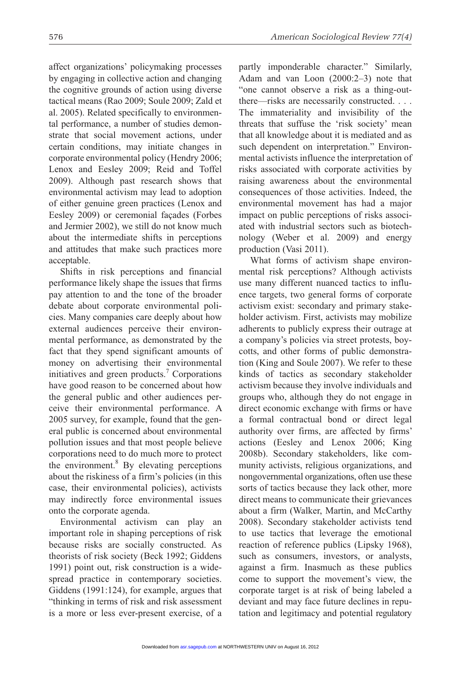affect organizations' policymaking processes by engaging in collective action and changing the cognitive grounds of action using diverse tactical means (Rao 2009; Soule 2009; Zald et al. 2005). Related specifically to environmental performance, a number of studies demonstrate that social movement actions, under certain conditions, may initiate changes in corporate environmental policy (Hendry 2006; Lenox and Eesley 2009; Reid and Toffel 2009). Although past research shows that environmental activism may lead to adoption of either genuine green practices (Lenox and Eesley 2009) or ceremonial façades (Forbes and Jermier 2002), we still do not know much about the intermediate shifts in perceptions and attitudes that make such practices more acceptable.

Shifts in risk perceptions and financial performance likely shape the issues that firms pay attention to and the tone of the broader debate about corporate environmental policies. Many companies care deeply about how external audiences perceive their environmental performance, as demonstrated by the fact that they spend significant amounts of money on advertising their environmental initiatives and green products.<sup>7</sup> Corporations have good reason to be concerned about how the general public and other audiences perceive their environmental performance. A 2005 survey, for example, found that the general public is concerned about environmental pollution issues and that most people believe corporations need to do much more to protect the environment. $8$  By elevating perceptions about the riskiness of a firm's policies (in this case, their environmental policies), activists may indirectly force environmental issues onto the corporate agenda.

Environmental activism can play an important role in shaping perceptions of risk because risks are socially constructed. As theorists of risk society (Beck 1992; Giddens 1991) point out, risk construction is a widespread practice in contemporary societies. Giddens (1991:124), for example, argues that "thinking in terms of risk and risk assessment is a more or less ever-present exercise, of a partly imponderable character." Similarly, Adam and van Loon (2000:2–3) note that "one cannot observe a risk as a thing-outthere—risks are necessarily constructed. . . . The immateriality and invisibility of the threats that suffuse the 'risk society' mean that all knowledge about it is mediated and as such dependent on interpretation." Environmental activists influence the interpretation of risks associated with corporate activities by raising awareness about the environmental consequences of those activities. Indeed, the environmental movement has had a major impact on public perceptions of risks associated with industrial sectors such as biotechnology (Weber et al. 2009) and energy production (Vasi 2011).

What forms of activism shape environmental risk perceptions? Although activists use many different nuanced tactics to influence targets, two general forms of corporate activism exist: secondary and primary stakeholder activism. First, activists may mobilize adherents to publicly express their outrage at a company's policies via street protests, boycotts, and other forms of public demonstration (King and Soule 2007). We refer to these kinds of tactics as secondary stakeholder activism because they involve individuals and groups who, although they do not engage in direct economic exchange with firms or have a formal contractual bond or direct legal authority over firms, are affected by firms' actions (Eesley and Lenox 2006; King 2008b). Secondary stakeholders, like community activists, religious organizations, and nongovernmental organizations, often use these sorts of tactics because they lack other, more direct means to communicate their grievances about a firm (Walker, Martin, and McCarthy 2008). Secondary stakeholder activists tend to use tactics that leverage the emotional reaction of reference publics (Lipsky 1968), such as consumers, investors, or analysts, against a firm. Inasmuch as these publics come to support the movement's view, the corporate target is at risk of being labeled a deviant and may face future declines in reputation and legitimacy and potential regulatory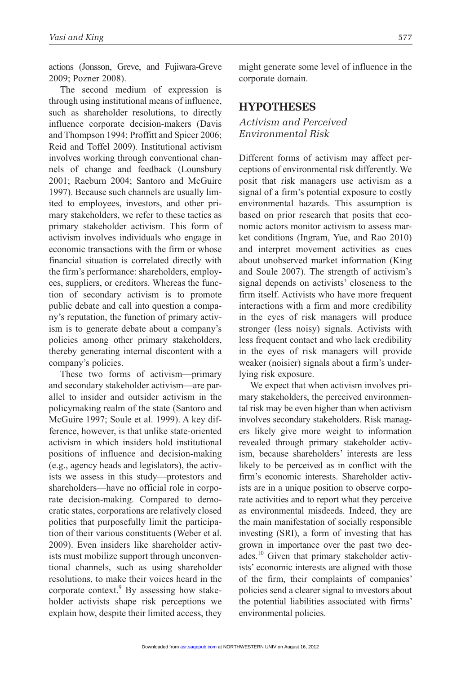actions (Jonsson, Greve, and Fujiwara-Greve 2009; Pozner 2008).

The second medium of expression is through using institutional means of influence, such as shareholder resolutions, to directly influence corporate decision-makers (Davis and Thompson 1994; Proffitt and Spicer 2006; Reid and Toffel 2009). Institutional activism involves working through conventional channels of change and feedback (Lounsbury 2001; Raeburn 2004; Santoro and McGuire 1997). Because such channels are usually limited to employees, investors, and other primary stakeholders, we refer to these tactics as primary stakeholder activism. This form of activism involves individuals who engage in economic transactions with the firm or whose financial situation is correlated directly with the firm's performance: shareholders, employees, suppliers, or creditors. Whereas the function of secondary activism is to promote public debate and call into question a company's reputation, the function of primary activism is to generate debate about a company's policies among other primary stakeholders, thereby generating internal discontent with a company's policies.

These two forms of activism—primary and secondary stakeholder activism—are parallel to insider and outsider activism in the policymaking realm of the state (Santoro and McGuire 1997; Soule et al. 1999). A key difference, however, is that unlike state-oriented activism in which insiders hold institutional positions of influence and decision-making (e.g., agency heads and legislators), the activists we assess in this study—protestors and shareholders—have no official role in corporate decision-making. Compared to democratic states, corporations are relatively closed polities that purposefully limit the participation of their various constituents (Weber et al. 2009). Even insiders like shareholder activists must mobilize support through unconventional channels, such as using shareholder resolutions, to make their voices heard in the corporate context.<sup>9</sup> By assessing how stakeholder activists shape risk perceptions we explain how, despite their limited access, they might generate some level of influence in the corporate domain.

#### **Hypotheses**

*Activism and Perceived Environmental Risk*

Different forms of activism may affect perceptions of environmental risk differently. We posit that risk managers use activism as a signal of a firm's potential exposure to costly environmental hazards. This assumption is based on prior research that posits that economic actors monitor activism to assess market conditions (Ingram, Yue, and Rao 2010) and interpret movement activities as cues about unobserved market information (King and Soule 2007). The strength of activism's signal depends on activists' closeness to the firm itself. Activists who have more frequent interactions with a firm and more credibility in the eyes of risk managers will produce stronger (less noisy) signals. Activists with less frequent contact and who lack credibility in the eyes of risk managers will provide weaker (noisier) signals about a firm's underlying risk exposure.

We expect that when activism involves primary stakeholders, the perceived environmental risk may be even higher than when activism involves secondary stakeholders. Risk managers likely give more weight to information revealed through primary stakeholder activism, because shareholders' interests are less likely to be perceived as in conflict with the firm's economic interests. Shareholder activists are in a unique position to observe corporate activities and to report what they perceive as environmental misdeeds. Indeed, they are the main manifestation of socially responsible investing (SRI), a form of investing that has grown in importance over the past two decades.<sup>10</sup> Given that primary stakeholder activists' economic interests are aligned with those of the firm, their complaints of companies' policies send a clearer signal to investors about the potential liabilities associated with firms' environmental policies.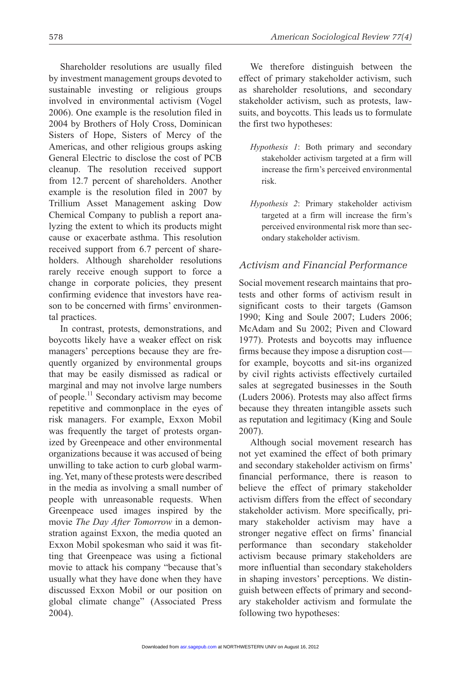Shareholder resolutions are usually filed by investment management groups devoted to sustainable investing or religious groups involved in environmental activism (Vogel 2006). One example is the resolution filed in 2004 by Brothers of Holy Cross, Dominican Sisters of Hope, Sisters of Mercy of the Americas, and other religious groups asking General Electric to disclose the cost of PCB cleanup. The resolution received support from 12.7 percent of shareholders. Another example is the resolution filed in 2007 by Trillium Asset Management asking Dow Chemical Company to publish a report analyzing the extent to which its products might cause or exacerbate asthma. This resolution received support from 6.7 percent of shareholders. Although shareholder resolutions rarely receive enough support to force a change in corporate policies, they present confirming evidence that investors have reason to be concerned with firms' environmental practices.

In contrast, protests, demonstrations, and boycotts likely have a weaker effect on risk managers' perceptions because they are frequently organized by environmental groups that may be easily dismissed as radical or marginal and may not involve large numbers of people.<sup>11</sup> Secondary activism may become repetitive and commonplace in the eyes of risk managers. For example, Exxon Mobil was frequently the target of protests organized by Greenpeace and other environmental organizations because it was accused of being unwilling to take action to curb global warming. Yet, many of these protests were described in the media as involving a small number of people with unreasonable requests. When Greenpeace used images inspired by the movie *The Day After Tomorrow* in a demonstration against Exxon, the media quoted an Exxon Mobil spokesman who said it was fitting that Greenpeace was using a fictional movie to attack his company "because that's usually what they have done when they have discussed Exxon Mobil or our position on global climate change" (Associated Press 2004).

We therefore distinguish between the effect of primary stakeholder activism, such as shareholder resolutions, and secondary stakeholder activism, such as protests, lawsuits, and boycotts. This leads us to formulate the first two hypotheses:

- *Hypothesis 1*: Both primary and secondary stakeholder activism targeted at a firm will increase the firm's perceived environmental risk.
- *Hypothesis 2*: Primary stakeholder activism targeted at a firm will increase the firm's perceived environmental risk more than secondary stakeholder activism.

#### *Activism and Financial Performance*

Social movement research maintains that protests and other forms of activism result in significant costs to their targets (Gamson 1990; King and Soule 2007; Luders 2006; McAdam and Su 2002; Piven and Cloward 1977). Protests and boycotts may influence firms because they impose a disruption cost for example, boycotts and sit-ins organized by civil rights activists effectively curtailed sales at segregated businesses in the South (Luders 2006). Protests may also affect firms because they threaten intangible assets such as reputation and legitimacy (King and Soule 2007).

Although social movement research has not yet examined the effect of both primary and secondary stakeholder activism on firms' financial performance, there is reason to believe the effect of primary stakeholder activism differs from the effect of secondary stakeholder activism. More specifically, primary stakeholder activism may have a stronger negative effect on firms' financial performance than secondary stakeholder activism because primary stakeholders are more influential than secondary stakeholders in shaping investors' perceptions. We distinguish between effects of primary and secondary stakeholder activism and formulate the following two hypotheses: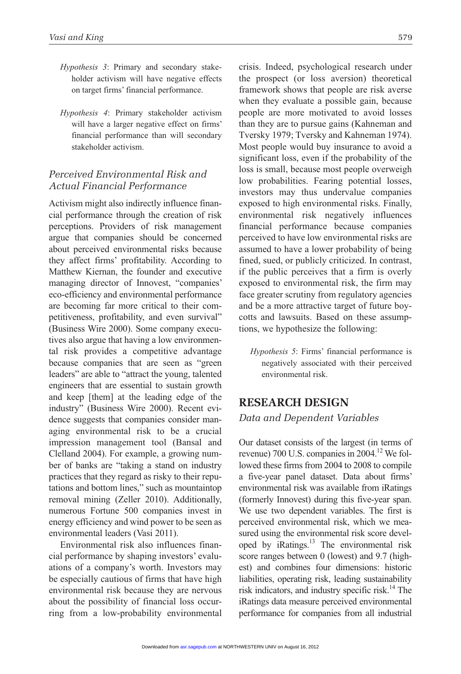- *Hypothesis 3*: Primary and secondary stakeholder activism will have negative effects on target firms' financial performance.
- *Hypothesis 4*: Primary stakeholder activism will have a larger negative effect on firms' financial performance than will secondary stakeholder activism.

#### *Perceived Environmental Risk and Actual Financial Performance*

Activism might also indirectly influence financial performance through the creation of risk perceptions. Providers of risk management argue that companies should be concerned about perceived environmental risks because they affect firms' profitability. According to Matthew Kiernan, the founder and executive managing director of Innovest, "companies' eco-efficiency and environmental performance are becoming far more critical to their competitiveness, profitability, and even survival" (Business Wire 2000). Some company executives also argue that having a low environmental risk provides a competitive advantage because companies that are seen as "green leaders" are able to "attract the young, talented engineers that are essential to sustain growth and keep [them] at the leading edge of the industry" (Business Wire 2000). Recent evidence suggests that companies consider managing environmental risk to be a crucial impression management tool (Bansal and Clelland 2004). For example, a growing number of banks are "taking a stand on industry practices that they regard as risky to their reputations and bottom lines," such as mountaintop removal mining (Zeller 2010). Additionally, numerous Fortune 500 companies invest in energy efficiency and wind power to be seen as environmental leaders (Vasi 2011).

Environmental risk also influences financial performance by shaping investors' evaluations of a company's worth. Investors may be especially cautious of firms that have high environmental risk because they are nervous about the possibility of financial loss occurring from a low-probability environmental crisis. Indeed, psychological research under the prospect (or loss aversion) theoretical framework shows that people are risk averse when they evaluate a possible gain, because people are more motivated to avoid losses than they are to pursue gains (Kahneman and Tversky 1979; Tversky and Kahneman 1974). Most people would buy insurance to avoid a significant loss, even if the probability of the loss is small, because most people overweigh low probabilities. Fearing potential losses, investors may thus undervalue companies exposed to high environmental risks. Finally, environmental risk negatively influences financial performance because companies perceived to have low environmental risks are assumed to have a lower probability of being fined, sued, or publicly criticized. In contrast, if the public perceives that a firm is overly exposed to environmental risk, the firm may face greater scrutiny from regulatory agencies and be a more attractive target of future boycotts and lawsuits. Based on these assumptions, we hypothesize the following:

*Hypothesis 5*: Firms' financial performance is negatively associated with their perceived environmental risk.

#### **Research Design**

*Data and Dependent Variables*

Our dataset consists of the largest (in terms of revenue) 700 U.S. companies in 2004.<sup>12</sup> We followed these firms from 2004 to 2008 to compile a five-year panel dataset. Data about firms' environmental risk was available from iRatings (formerly Innovest) during this five-year span. We use two dependent variables. The first is perceived environmental risk, which we measured using the environmental risk score developed by iRatings.<sup>13</sup> The environmental risk score ranges between 0 (lowest) and 9.7 (highest) and combines four dimensions: historic liabilities, operating risk, leading sustainability risk indicators, and industry specific risk.<sup>14</sup> The iRatings data measure perceived environmental performance for companies from all industrial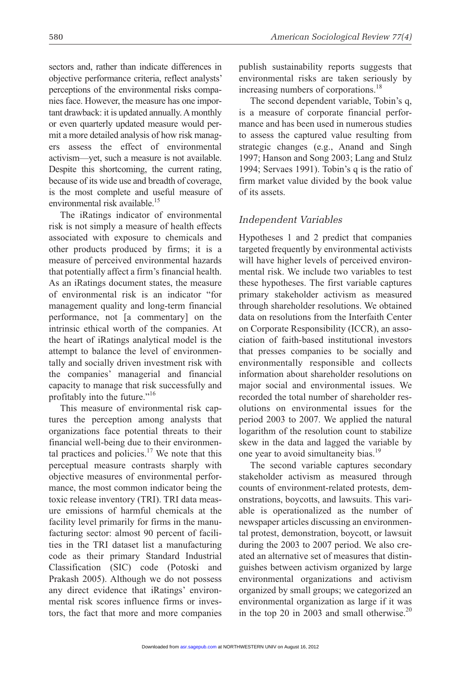sectors and, rather than indicate differences in objective performance criteria, reflect analysts' perceptions of the environmental risks companies face. However, the measure has one important drawback: it is updated annually. A monthly or even quarterly updated measure would permit a more detailed analysis of how risk managers assess the effect of environmental activism—yet, such a measure is not available. Despite this shortcoming, the current rating, because of its wide use and breadth of coverage, is the most complete and useful measure of environmental risk available.<sup>15</sup>

The iRatings indicator of environmental risk is not simply a measure of health effects associated with exposure to chemicals and other products produced by firms; it is a measure of perceived environmental hazards that potentially affect a firm's financial health. As an iRatings document states, the measure of environmental risk is an indicator "for management quality and long-term financial performance, not [a commentary] on the intrinsic ethical worth of the companies. At the heart of iRatings analytical model is the attempt to balance the level of environmentally and socially driven investment risk with the companies' managerial and financial capacity to manage that risk successfully and profitably into the future."<sup>16</sup>

This measure of environmental risk captures the perception among analysts that organizations face potential threats to their financial well-being due to their environmental practices and policies. $17$  We note that this perceptual measure contrasts sharply with objective measures of environmental performance, the most common indicator being the toxic release inventory (TRI). TRI data measure emissions of harmful chemicals at the facility level primarily for firms in the manufacturing sector: almost 90 percent of facilities in the TRI dataset list a manufacturing code as their primary Standard Industrial Classification (SIC) code (Potoski and Prakash 2005). Although we do not possess any direct evidence that iRatings' environmental risk scores influence firms or investors, the fact that more and more companies

publish sustainability reports suggests that environmental risks are taken seriously by increasing numbers of corporations.<sup>18</sup>

The second dependent variable, Tobin's q, is a measure of corporate financial performance and has been used in numerous studies to assess the captured value resulting from strategic changes (e.g., Anand and Singh 1997; Hanson and Song 2003; Lang and Stulz 1994; Servaes 1991). Tobin's q is the ratio of firm market value divided by the book value of its assets.

#### *Independent Variables*

Hypotheses 1 and 2 predict that companies targeted frequently by environmental activists will have higher levels of perceived environmental risk. We include two variables to test these hypotheses. The first variable captures primary stakeholder activism as measured through shareholder resolutions. We obtained data on resolutions from the Interfaith Center on Corporate Responsibility (ICCR), an association of faith-based institutional investors that presses companies to be socially and environmentally responsible and collects information about shareholder resolutions on major social and environmental issues. We recorded the total number of shareholder resolutions on environmental issues for the period 2003 to 2007. We applied the natural logarithm of the resolution count to stabilize skew in the data and lagged the variable by one year to avoid simultaneity bias.<sup>19</sup>

The second variable captures secondary stakeholder activism as measured through counts of environment-related protests, demonstrations, boycotts, and lawsuits. This variable is operationalized as the number of newspaper articles discussing an environmental protest, demonstration, boycott, or lawsuit during the 2003 to 2007 period. We also created an alternative set of measures that distinguishes between activism organized by large environmental organizations and activism organized by small groups; we categorized an environmental organization as large if it was in the top 20 in 2003 and small otherwise. $20$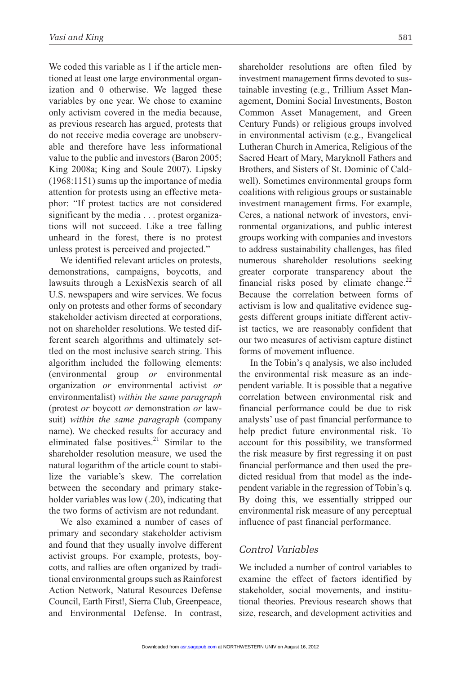We coded this variable as 1 if the article mentioned at least one large environmental organization and 0 otherwise. We lagged these variables by one year. We chose to examine only activism covered in the media because, as previous research has argued, protests that do not receive media coverage are unobservable and therefore have less informational value to the public and investors (Baron 2005; King 2008a; King and Soule 2007). Lipsky (1968:1151) sums up the importance of media attention for protests using an effective metaphor: "If protest tactics are not considered significant by the media . . . protest organizations will not succeed. Like a tree falling unheard in the forest, there is no protest unless protest is perceived and projected."

We identified relevant articles on protests, demonstrations, campaigns, boycotts, and lawsuits through a LexisNexis search of all U.S. newspapers and wire services. We focus only on protests and other forms of secondary stakeholder activism directed at corporations, not on shareholder resolutions. We tested different search algorithms and ultimately settled on the most inclusive search string. This algorithm included the following elements: (environmental group *or* environmental organization *or* environmental activist *or* environmentalist) *within the same paragraph* (protest *or* boycott *or* demonstration *or* lawsuit) *within the same paragraph* (company name). We checked results for accuracy and eliminated false positives. $21$  Similar to the shareholder resolution measure, we used the natural logarithm of the article count to stabilize the variable's skew. The correlation between the secondary and primary stakeholder variables was low (.20), indicating that the two forms of activism are not redundant.

We also examined a number of cases of primary and secondary stakeholder activism and found that they usually involve different activist groups. For example, protests, boycotts, and rallies are often organized by traditional environmental groups such as Rainforest Action Network, Natural Resources Defense Council, Earth First!, Sierra Club, Greenpeace, and Environmental Defense. In contrast,

shareholder resolutions are often filed by investment management firms devoted to sustainable investing (e.g., Trillium Asset Management, Domini Social Investments, Boston Common Asset Management, and Green Century Funds) or religious groups involved in environmental activism (e.g., Evangelical Lutheran Church in America, Religious of the Sacred Heart of Mary, Maryknoll Fathers and Brothers, and Sisters of St. Dominic of Caldwell). Sometimes environmental groups form coalitions with religious groups or sustainable investment management firms. For example, Ceres, a national network of investors, environmental organizations, and public interest groups working with companies and investors to address sustainability challenges, has filed numerous shareholder resolutions seeking greater corporate transparency about the financial risks posed by climate change.<sup>22</sup> Because the correlation between forms of activism is low and qualitative evidence suggests different groups initiate different activist tactics, we are reasonably confident that our two measures of activism capture distinct forms of movement influence.

In the Tobin's q analysis, we also included the environmental risk measure as an independent variable. It is possible that a negative correlation between environmental risk and financial performance could be due to risk analysts' use of past financial performance to help predict future environmental risk. To account for this possibility, we transformed the risk measure by first regressing it on past financial performance and then used the predicted residual from that model as the independent variable in the regression of Tobin's q. By doing this, we essentially stripped our environmental risk measure of any perceptual influence of past financial performance.

#### *Control Variables*

We included a number of control variables to examine the effect of factors identified by stakeholder, social movements, and institutional theories. Previous research shows that size, research, and development activities and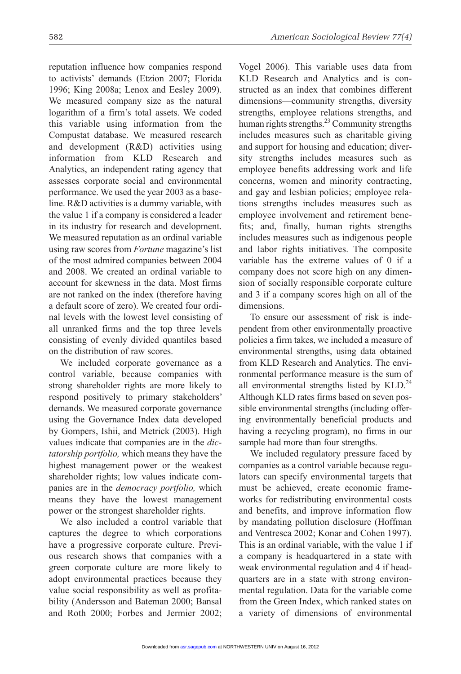reputation influence how companies respond to activists' demands (Etzion 2007; Florida 1996; King 2008a; Lenox and Eesley 2009). We measured company size as the natural logarithm of a firm's total assets. We coded this variable using information from the Compustat database. We measured research and development (R&D) activities using information from KLD Research and Analytics, an independent rating agency that assesses corporate social and environmental performance. We used the year 2003 as a baseline. R&D activities is a dummy variable, with the value 1 if a company is considered a leader in its industry for research and development. We measured reputation as an ordinal variable using raw scores from *Fortune* magazine's list of the most admired companies between 2004 and 2008. We created an ordinal variable to account for skewness in the data. Most firms are not ranked on the index (therefore having a default score of zero). We created four ordinal levels with the lowest level consisting of all unranked firms and the top three levels consisting of evenly divided quantiles based on the distribution of raw scores.

We included corporate governance as a control variable, because companies with strong shareholder rights are more likely to respond positively to primary stakeholders' demands. We measured corporate governance using the Governance Index data developed by Gompers, Ishii, and Metrick (2003). High values indicate that companies are in the *dictatorship portfolio,* which means they have the highest management power or the weakest shareholder rights; low values indicate companies are in the *democracy portfolio,* which means they have the lowest management power or the strongest shareholder rights.

We also included a control variable that captures the degree to which corporations have a progressive corporate culture. Previous research shows that companies with a green corporate culture are more likely to adopt environmental practices because they value social responsibility as well as profitability (Andersson and Bateman 2000; Bansal and Roth 2000; Forbes and Jermier 2002; Vogel 2006). This variable uses data from KLD Research and Analytics and is constructed as an index that combines different dimensions—community strengths, diversity strengths, employee relations strengths, and human rights strengths.<sup>23</sup> Community strengths includes measures such as charitable giving and support for housing and education; diversity strengths includes measures such as employee benefits addressing work and life concerns, women and minority contracting, and gay and lesbian policies; employee relations strengths includes measures such as employee involvement and retirement benefits; and, finally, human rights strengths includes measures such as indigenous people and labor rights initiatives. The composite variable has the extreme values of 0 if a company does not score high on any dimension of socially responsible corporate culture and 3 if a company scores high on all of the dimensions.

To ensure our assessment of risk is independent from other environmentally proactive policies a firm takes, we included a measure of environmental strengths, using data obtained from KLD Research and Analytics. The environmental performance measure is the sum of all environmental strengths listed by  $KLD<sup>24</sup>$ Although KLD rates firms based on seven possible environmental strengths (including offering environmentally beneficial products and having a recycling program), no firms in our sample had more than four strengths.

We included regulatory pressure faced by companies as a control variable because regulators can specify environmental targets that must be achieved, create economic frameworks for redistributing environmental costs and benefits, and improve information flow by mandating pollution disclosure (Hoffman and Ventresca 2002; Konar and Cohen 1997). This is an ordinal variable, with the value 1 if a company is headquartered in a state with weak environmental regulation and 4 if headquarters are in a state with strong environmental regulation. Data for the variable come from the Green Index, which ranked states on a variety of dimensions of environmental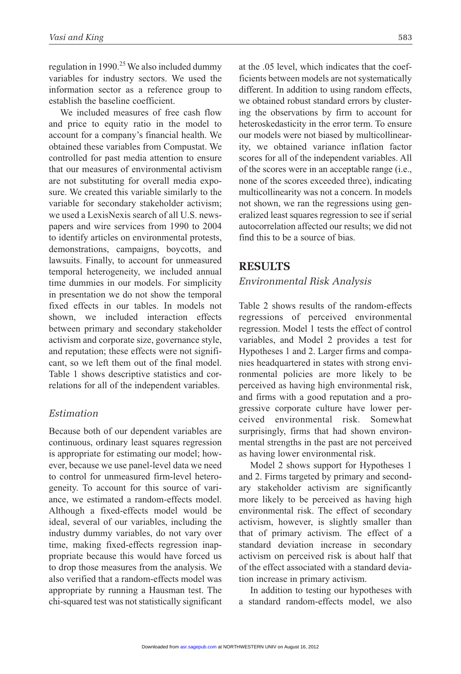regulation in 1990.<sup>25</sup> We also included dummy variables for industry sectors. We used the information sector as a reference group to establish the baseline coefficient.

We included measures of free cash flow and price to equity ratio in the model to account for a company's financial health. We obtained these variables from Compustat. We controlled for past media attention to ensure that our measures of environmental activism are not substituting for overall media exposure. We created this variable similarly to the variable for secondary stakeholder activism; we used a LexisNexis search of all U.S. newspapers and wire services from 1990 to 2004 to identify articles on environmental protests, demonstrations, campaigns, boycotts, and lawsuits. Finally, to account for unmeasured temporal heterogeneity, we included annual time dummies in our models. For simplicity in presentation we do not show the temporal fixed effects in our tables. In models not shown, we included interaction effects between primary and secondary stakeholder activism and corporate size, governance style, and reputation; these effects were not significant, so we left them out of the final model. Table 1 shows descriptive statistics and correlations for all of the independent variables.

#### *Estimation*

Because both of our dependent variables are continuous, ordinary least squares regression is appropriate for estimating our model; however, because we use panel-level data we need to control for unmeasured firm-level heterogeneity. To account for this source of variance, we estimated a random-effects model. Although a fixed-effects model would be ideal, several of our variables, including the industry dummy variables, do not vary over time, making fixed-effects regression inappropriate because this would have forced us to drop those measures from the analysis. We also verified that a random-effects model was appropriate by running a Hausman test. The chi-squared test was not statistically significant at the .05 level, which indicates that the coefficients between models are not systematically different. In addition to using random effects, we obtained robust standard errors by clustering the observations by firm to account for heteroskedasticity in the error term. To ensure our models were not biased by multicollinearity, we obtained variance inflation factor scores for all of the independent variables. All of the scores were in an acceptable range (i.e., none of the scores exceeded three), indicating multicollinearity was not a concern. In models not shown, we ran the regressions using generalized least squares regression to see if serial autocorrelation affected our results; we did not find this to be a source of bias.

#### **Results**

#### *Environmental Risk Analysis*

Table 2 shows results of the random-effects regressions of perceived environmental regression. Model 1 tests the effect of control variables, and Model 2 provides a test for Hypotheses 1 and 2. Larger firms and companies headquartered in states with strong environmental policies are more likely to be perceived as having high environmental risk, and firms with a good reputation and a progressive corporate culture have lower perceived environmental risk. Somewhat surprisingly, firms that had shown environmental strengths in the past are not perceived as having lower environmental risk.

Model 2 shows support for Hypotheses 1 and 2. Firms targeted by primary and secondary stakeholder activism are significantly more likely to be perceived as having high environmental risk. The effect of secondary activism, however, is slightly smaller than that of primary activism. The effect of a standard deviation increase in secondary activism on perceived risk is about half that of the effect associated with a standard deviation increase in primary activism.

In addition to testing our hypotheses with a standard random-effects model, we also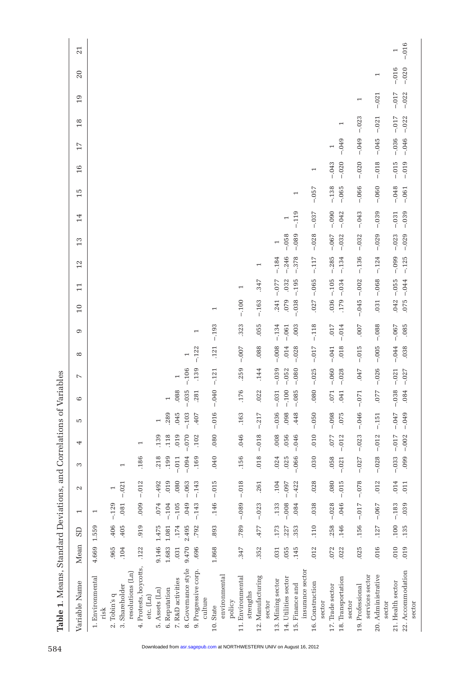| control of the control of the control of the control of the control of the control of the control of the control of the control of the control of the control of the control of the control of the control of the control of t |       |       |                |              |           |                          |          |          |                |          |                          |                |                |                                           |                |                |          |         |          |                              |                     |          |         |
|--------------------------------------------------------------------------------------------------------------------------------------------------------------------------------------------------------------------------------|-------|-------|----------------|--------------|-----------|--------------------------|----------|----------|----------------|----------|--------------------------|----------------|----------------|-------------------------------------------|----------------|----------------|----------|---------|----------|------------------------------|---------------------|----------|---------|
| Variable Name                                                                                                                                                                                                                  | Mean  | GS    | $\overline{ }$ | $\mathbb{Z}$ |           | 4                        | S        | $\circ$  | $\overline{ }$ | $\infty$ | ၜ                        | 10             | 11             | $\mathcal{L}$<br>$\overline{\phantom{0}}$ | 13             | 14             | 15       | 16      | $17\,$   | $^{\circ}$<br>$\overline{ }$ | ာ<br>$\overline{ }$ | 20       | 21      |
| 1. Environmental<br>risk                                                                                                                                                                                                       | 4.669 | 1.559 |                |              |           |                          |          |          |                |          |                          |                |                |                                           |                |                |          |         |          |                              |                     |          |         |
| 2. Tobin's q                                                                                                                                                                                                                   | .965  | .406  | $-.129$        |              |           |                          |          |          |                |          |                          |                |                |                                           |                |                |          |         |          |                              |                     |          |         |
| resolutions (Ln)<br>3. Shareholder                                                                                                                                                                                             | .104  | .405  | .081           | $-.021$      |           |                          |          |          |                |          |                          |                |                |                                           |                |                |          |         |          |                              |                     |          |         |
| 4. Protests, boycotts,<br>etc. (Ln)                                                                                                                                                                                            | .122  | .919  | 000.           | $-.012$      | 86<br>H   | $\overline{\phantom{0}}$ |          |          |                |          |                          |                |                |                                           |                |                |          |         |          |                              |                     |          |         |
| 5. Assets (Ln)                                                                                                                                                                                                                 | 9.146 | 1.475 | .074           | $-.492$      | .218      | .139                     |          |          |                |          |                          |                |                |                                           |                |                |          |         |          |                              |                     |          |         |
| 6. Reputation                                                                                                                                                                                                                  | 1.683 | 1.081 | $-.104$        | .019         | .199      | 118                      | .289     |          |                |          |                          |                |                |                                           |                |                |          |         |          |                              |                     |          |         |
| 7. R&D activities                                                                                                                                                                                                              | .031  | .174  | $-.105$        | 080          | $-.011$   | 019                      | .045     | .088     |                |          |                          |                |                |                                           |                |                |          |         |          |                              |                     |          |         |
| 8. Governance style                                                                                                                                                                                                            | 9.470 | 2.495 | .049           | $-.063$      | $-0.094$  | $-.070$                  | $-.103$  | $-0.35$  | $-.106$        | 1        |                          |                |                |                                           |                |                |          |         |          |                              |                     |          |         |
| 9. Progressive corp.<br>culture                                                                                                                                                                                                | .696  | .792  | $-.143$        | $-.143$      | 169<br>L, | .102                     | .407     | .281     | .139           | $-.122$  | $\overline{\phantom{0}}$ |                |                |                                           |                |                |          |         |          |                              |                     |          |         |
| 10. State                                                                                                                                                                                                                      | 1.868 | .893  | .146           | $-.015$      | .040      | 080.                     | $-.016$  | $-0.040$ | $-.121$        | .121     | $-193$                   | $\overline{ }$ |                |                                           |                |                |          |         |          |                              |                     |          |         |
| environmental<br>policy                                                                                                                                                                                                        |       |       |                |              |           |                          |          |          |                |          |                          |                |                |                                           |                |                |          |         |          |                              |                     |          |         |
| 11. Environmental<br>strengths                                                                                                                                                                                                 | .347  | .789  | $-.089$        | $-.018$      | 56<br>L.  | .046                     | .163     | .176     | .259           | $-.007$  | .323                     | $-100$         | $\overline{ }$ |                                           |                |                |          |         |          |                              |                     |          |         |
| 12. Manufacturing<br>sector                                                                                                                                                                                                    | .352  | .477  | $-.023$        | .261         | .018      | $-.018$                  | $-.217$  | .022     | .144           | .088     | .055                     | $-.163$        | .347           | $\overline{ }$                            |                |                |          |         |          |                              |                     |          |         |
| 13. Mining sector                                                                                                                                                                                                              | .031  | 173   | .133           | .104         | .024      | .008                     | $-.036$  | $-.031$  | $-.039$        | $-.008$  | $-.134$                  | .241           | $-0.077$       | $-.184$                                   | $\overline{ }$ |                |          |         |          |                              |                     |          |         |
| 14. Utilities sector                                                                                                                                                                                                           | .055  | .227  | $-.008$        | $-0.097$     | .025      | .056                     | .098     | $-100$   | $-.052$        | .014     | $-.061$                  | .079           | .032           | $-.246$                                   | $-.058$        | $\overline{ }$ |          |         |          |                              |                     |          |         |
| 15. Finance and                                                                                                                                                                                                                | .145  | .353  | .084           | $-.422$      | $-.066$   | $-0.046$                 | .448     | $-0.85$  | $-.080$        | $-.028$  | .003                     | $-0.38$        | $-195$         | $-.378$                                   | $-0.89$        | $-119$         | ſ        |         |          |                              |                     |          |         |
| insurance sector                                                                                                                                                                                                               |       |       |                |              |           |                          |          |          |                |          |                          |                |                |                                           |                |                |          |         |          |                              |                     |          |         |
| 16. Construction<br>sector                                                                                                                                                                                                     | .012  | .110  | .038           | .028         | .030      | .010                     | $-.050$  | 080.     | $-.025$        | $-.017$  | $-.118$                  | .027           | $-0.065$       | $-.117$                                   | $-.028$        | $-.037$        | $-0.057$ | 1       |          |                              |                     |          |         |
| 17. Trade sector                                                                                                                                                                                                               | .072  | 258   | $-.028$        | .080         | .058      | .077                     | $-0.98$  | .071     | $-.060$        | $-.041$  | .017                     | 036            | $-.105$        | $-.285$                                   | $-.067$        | $-0.090$       | $-.138$  | $-.043$ | 1        |                              |                     |          |         |
| 18. Transportation<br>sector                                                                                                                                                                                                   | .022  | .146  | .046           | $-.015$      | $-.021$   | $-.012$                  | .075     | .041     | $-.028$        | .018     | $-.014$                  | .179           | $-.034$        | $-.134$                                   | $-.032$        | $-.042$        | $-.065$  | $-.020$ | $-0.049$ |                              |                     |          |         |
| services sector<br>19. Professional                                                                                                                                                                                            | .025  | .156  | $-0.017$       | $-.078$      | $-.027$   | $-.023$                  | $-0.046$ | $-.071$  | .047           | $-.015$  | .007                     | $-0.045$       | $-.002$        | $-.136$                                   | $-.032$        | $-.043$        | $-.066$  | $-.020$ | $-0.049$ | $-.023$                      | $\overline{ }$      |          |         |
| 20. Administrative                                                                                                                                                                                                             | .016  | .127  | $-.067$        | .012         | $-.028$   | $-.012$                  | $-151$   | .077     | $-.026$        | $-0.005$ | $-.088$                  | .031           | $-.068$        | $-.124$                                   | $-.029$        | $-.039$        | $-.060$  | $-.018$ | $-0.045$ | $-.021$                      | $-.021$             | ſ        |         |
| sector                                                                                                                                                                                                                         |       |       |                |              |           |                          |          |          |                |          |                          |                |                |                                           |                |                |          |         |          |                              |                     |          |         |
| 21. Health sector                                                                                                                                                                                                              | 010   | .100  | $-.183$        | .014         | $-.033$   | $-0.017$                 | $-0.047$ | $-.038$  | $-.021$        | $-.044$  | $-.067$                  | .042           | $-0.55$        | $-0.099$                                  | $-.023$        | $-.031$        | $-.048$  | $-.015$ | $-0.36$  | $-0.17$                      | $-0.017$            | $-0.016$ | 1       |
| 22. Accommodation<br>sector                                                                                                                                                                                                    | 019   | .135  | .039           | .011         | .099      | $-.002$                  | $-0.049$ | .084     | $-.027$        | .038     | .085                     | .075           | $-.044$        | $-.125$                                   | $-.029$        | $-.039$        | $-.061$  | $-.019$ | $-0.046$ | $-.022$                      | $-.022$             | $-.020$  | $-.016$ |
|                                                                                                                                                                                                                                |       |       |                |              |           |                          |          |          |                |          |                          |                |                |                                           |                |                |          |         |          |                              |                     |          |         |

Table 1. Means. Standard Deviations, and Correlations of Variables 584 **Table 1**. Means, Standard Deviations, and Correlations of Variables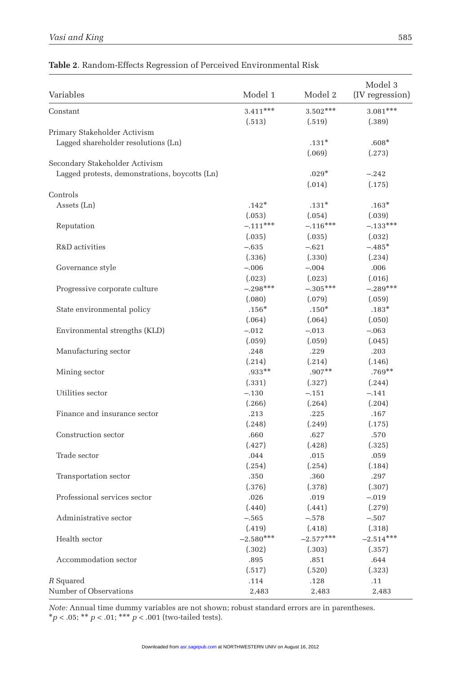| Variables                                      | Model 1     | Model 2     | Model 3<br>(IV regression) |
|------------------------------------------------|-------------|-------------|----------------------------|
| Constant                                       | $3.411***$  | $3.502***$  | $3.081***$                 |
|                                                | (.513)      | (.519)      | (.389)                     |
| Primary Stakeholder Activism                   |             |             |                            |
| Lagged shareholder resolutions (Ln)            |             | $.131*$     | $.608*$                    |
|                                                |             | (.069)      | (.273)                     |
| Secondary Stakeholder Activism                 |             |             |                            |
| Lagged protests, demonstrations, boycotts (Ln) |             | $.029*$     | $-.242$                    |
|                                                |             | (.014)      | (.175)                     |
| Controls                                       |             |             |                            |
| Assets (Ln)                                    | $.142*$     | $.131*$     | $.163*$                    |
|                                                | (.053)      | (.054)      | (.039)                     |
| Reputation                                     | $-.111***$  | $-.116***$  | $-.133***$                 |
|                                                | (.035)      | (.035)      | (.032)                     |
| R&D activities                                 | $-.635$     | $-.621$     | $-.485*$                   |
|                                                | (.336)      | (.330)      | (.234)                     |
| Governance style                               | $-.006$     | $-.004$     | .006                       |
|                                                | (.023)      | (.023)      | (.016)                     |
| Progressive corporate culture                  | $-.298***$  | $-.305***$  | $-.289***$                 |
|                                                | (.080)      | (.079)      | (.059)                     |
| State environmental policy                     | $.156*$     | $.150*$     | $.183*$                    |
|                                                | (.064)      | (.064)      | (.050)                     |
| Environmental strengths (KLD)                  | $-.012$     | $-.013$     | $-.063$                    |
|                                                | (.059)      | (.059)      | (.045)                     |
| Manufacturing sector                           | .248        | .229        | .203                       |
|                                                | (.214)      | (.214)      | (.146)                     |
| Mining sector                                  | $.933**$    | $.907**$    | $.769**$                   |
|                                                | (.331)      | (.327)      | (.244)                     |
| Utilities sector                               | $-.130$     | $-.151$     | $-.141$                    |
|                                                | (.266)      | (.264)      | (.204)                     |
| Finance and insurance sector                   | .213        | .225        | .167                       |
|                                                | (.248)      | (.249)      | (.175)                     |
| Construction sector                            | .660        | .627        | .570                       |
|                                                | (.427)      | (.428)      | (.325)                     |
| Trade sector                                   | .044        | .015        | .059                       |
|                                                | (.254)      | (.254)      | (.184)                     |
| Transportation sector                          | .350        | .360        | .297                       |
|                                                | (.376)      | (.378)      | (.307)                     |
| Professional services sector                   | .026        | .019        | $-.019$                    |
|                                                | (.440)      | (.441)      | (.279)                     |
| Administrative sector                          | $-.565$     | $-.578$     | $-.507$                    |
|                                                | (.419)      | (.418)      | (.318)                     |
| Health sector                                  | $-2.580***$ | $-2.577***$ | $-2.514***$                |
|                                                | (.302)      | (.303)      | (.357)                     |
| Accommodation sector                           | .895        | .851        | .644                       |
|                                                | (.517)      | (.520)      | (.323)                     |
| R Squared                                      | .114        | .128        | .11                        |
| Number of Observations                         | 2,483       | 2.483       | 2,483                      |

#### **Table 2**. Random-Effects Regression of Perceived Environmental Risk

*Note:* Annual time dummy variables are not shown; robust standard errors are in parentheses. \**p* < .05; \*\* *p* < .01; \*\*\* *p* < .001 (two-tailed tests).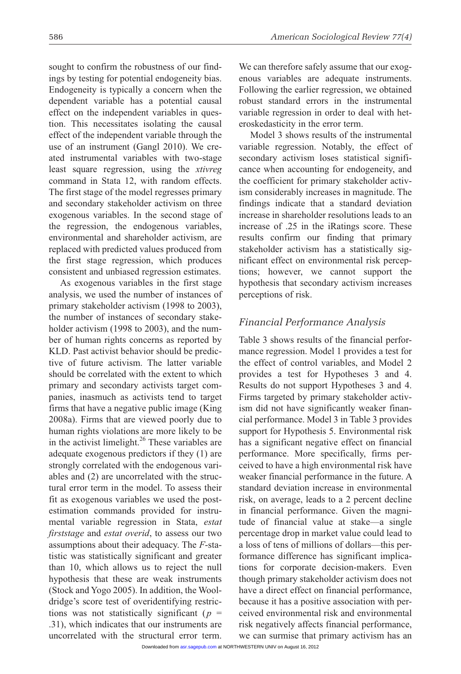sought to confirm the robustness of our findings by testing for potential endogeneity bias. Endogeneity is typically a concern when the dependent variable has a potential causal effect on the independent variables in question. This necessitates isolating the causal effect of the independent variable through the use of an instrument (Gangl 2010). We created instrumental variables with two-stage least square regression, using the *xtivreg* command in Stata 12, with random effects. The first stage of the model regresses primary and secondary stakeholder activism on three exogenous variables. In the second stage of the regression, the endogenous variables, environmental and shareholder activism, are replaced with predicted values produced from the first stage regression, which produces consistent and unbiased regression estimates.

As exogenous variables in the first stage analysis, we used the number of instances of primary stakeholder activism (1998 to 2003), the number of instances of secondary stakeholder activism (1998 to 2003), and the number of human rights concerns as reported by KLD. Past activist behavior should be predictive of future activism. The latter variable should be correlated with the extent to which primary and secondary activists target companies, inasmuch as activists tend to target firms that have a negative public image (King 2008a). Firms that are viewed poorly due to human rights violations are more likely to be in the activist limelight.<sup>26</sup> These variables are adequate exogenous predictors if they (1) are strongly correlated with the endogenous variables and (2) are uncorrelated with the structural error term in the model. To assess their fit as exogenous variables we used the postestimation commands provided for instrumental variable regression in Stata, *estat firststage* and *estat overid*, to assess our two assumptions about their adequacy. The *F*-statistic was statistically significant and greater than 10, which allows us to reject the null hypothesis that these are weak instruments (Stock and Yogo 2005). In addition, the Wooldridge's score test of overidentifying restrictions was not statistically significant ( $p =$ .31), which indicates that our instruments are uncorrelated with the structural error term.

We can therefore safely assume that our exogenous variables are adequate instruments. Following the earlier regression, we obtained robust standard errors in the instrumental variable regression in order to deal with heteroskedasticity in the error term.

Model 3 shows results of the instrumental variable regression. Notably, the effect of secondary activism loses statistical significance when accounting for endogeneity, and the coefficient for primary stakeholder activism considerably increases in magnitude. The findings indicate that a standard deviation increase in shareholder resolutions leads to an increase of .25 in the iRatings score. These results confirm our finding that primary stakeholder activism has a statistically significant effect on environmental risk perceptions; however, we cannot support the hypothesis that secondary activism increases perceptions of risk.

#### *Financial Performance Analysis*

Table 3 shows results of the financial performance regression. Model 1 provides a test for the effect of control variables, and Model 2 provides a test for Hypotheses 3 and 4. Results do not support Hypotheses 3 and 4. Firms targeted by primary stakeholder activism did not have significantly weaker financial performance. Model 3 in Table 3 provides support for Hypothesis 5. Environmental risk has a significant negative effect on financial performance. More specifically, firms perceived to have a high environmental risk have weaker financial performance in the future. A standard deviation increase in environmental risk, on average, leads to a 2 percent decline in financial performance. Given the magnitude of financial value at stake—a single percentage drop in market value could lead to a loss of tens of millions of dollars—this performance difference has significant implications for corporate decision-makers. Even though primary stakeholder activism does not have a direct effect on financial performance, because it has a positive association with perceived environmental risk and environmental risk negatively affects financial performance, we can surmise that primary activism has an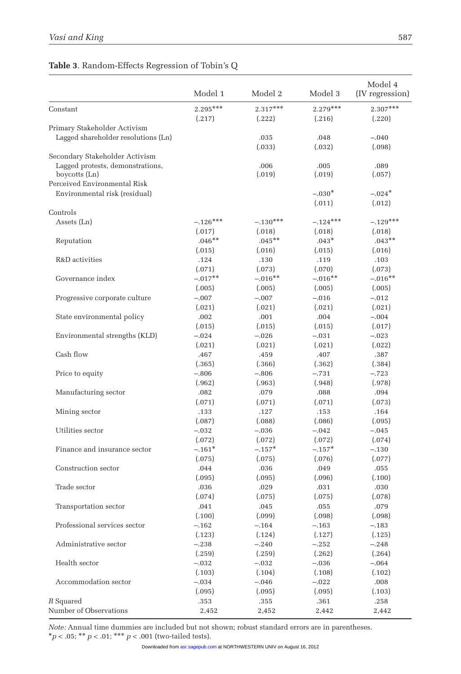|                                     | Model 1        | Model 2        | Model 3        | Model 4<br>(IV regression) |
|-------------------------------------|----------------|----------------|----------------|----------------------------|
| Constant                            | $2.295***$     | $2.317***$     | $2.279***$     | $2.307***$                 |
|                                     | (.217)         | (.222)         | (.216)         | (.220)                     |
| Primary Stakeholder Activism        |                |                |                |                            |
| Lagged shareholder resolutions (Ln) |                | .035           | .048           | $-.040$                    |
|                                     |                | (.033)         | (.032)         | (.098)                     |
| Secondary Stakeholder Activism      |                |                |                |                            |
| Lagged protests, demonstrations,    |                | .006           | .005           | .089                       |
| boycotts (Ln)                       |                | (.019)         | (.019)         | (.057)                     |
| Perceived Environmental Risk        |                |                |                |                            |
| Environmental risk (residual)       |                |                | $-.030*$       | $-.024*$                   |
|                                     |                |                | (.011)         | (.012)                     |
| Controls                            |                |                |                |                            |
| Assets (Ln)                         | $-.126***$     | $-.130***$     | $-.124***$     | $-.129***$                 |
|                                     | (.017)         | (.018)         | (.018)         | (.018)                     |
| Reputation                          | $.046**$       | $.045**$       | $.043*$        | $.043**$                   |
|                                     | (.015)         | (.016)         | (.015)         | (.016)                     |
| R&D activities                      | .124           | .130           | .119           | .103                       |
|                                     | (.071)         | (.073)         | (.070)         | (.073)                     |
| Governance index                    | $-.017**$      | $-.016**$      | $-.016**$      | $-.016**$                  |
|                                     | (.005)         | (.005)         | (.005)         | (.005)                     |
| Progressive corporate culture       | $-.007$        | $-.007$        | $-.016$        | $-.012$                    |
|                                     | (.021)         | (.021)         | (.021)         | (.021)                     |
| State environmental policy          | .002           | .001           | .004           | $-.004$                    |
|                                     | (.015)         | (.015)         | (.015)         | (.017)                     |
| Environmental strengths (KLD)       | $-.024$        | $-.026$        | $-.031$        | $-.023$                    |
| Cash flow                           | (.021)         | (.021)         | (.021)         | (.022)                     |
|                                     | .467<br>(.365) | .459<br>(.366) | .407<br>(.362) | .387<br>(.384)             |
|                                     | $-.806$        | $-.806$        | $-.731$        | $-.723$                    |
| Price to equity                     | (.962)         | (.963)         | (.948)         | (.978)                     |
| Manufacturing sector                | .082           | .079           | .088           | .094                       |
|                                     | (.071)         | (.071)         | (.071)         | (.073)                     |
| Mining sector                       | .133           | .127           | .153           | .164                       |
|                                     | (.087)         | (.088)         | (.086)         | (.095)                     |
| Utilities sector                    | $-.032$        | $-.036$        | $-.042$        | $-.045$                    |
|                                     | (.072)         | (.072)         | (.072)         | (.074)                     |
| Finance and insurance sector        | $-.161*$       | $-.157*$       | $-.157*$       | $-.130$                    |
|                                     | (.075)         | (.075)         | (.076)         | (.077)                     |
| Construction sector                 | .044           | .036           | .049           | .055                       |
|                                     | (.095)         | (.095)         | (.096)         | (.100)                     |
| Trade sector                        | .036           | .029           | .031           | .030                       |
|                                     | (.074)         | (.075)         | (.075)         | (.078)                     |
| Transportation sector               | .041           | .045           | .055           | .079                       |
|                                     | (.100)         | (.099)         | (.098)         | (.098)                     |
| Professional services sector        | $-.162$        | $-.164$        | $-.163$        | $-.183$                    |
|                                     | (.123)         | (.124)         | (.127)         | (.125)                     |
| Administrative sector               | $-.238$        | $-.240$        | $-.252$        | $-.248$                    |
|                                     | (.259)         | (.259)         | (.262)         | (.264)                     |
| Health sector                       | $-.032$        | $-.032$        | $-.036$        | $-.064$                    |
|                                     | (.103)         | (.104)         | (.108)         | (.102)                     |
| Accommodation sector                | $-.034$        | $-.046$        | $-.022$        | .008                       |
|                                     | (.095)         | (.095)         | (.095)         | (.103)                     |
| R Squared                           | .353           | .355           | .361           | .258                       |
| Number of Observations              | 2,452          | 2,452          | 2,442          | 2,442                      |

*Note:* Annual time dummies are included but not shown; robust standard errors are in parentheses. \**p* < .05; \*\* *p* < .01; \*\*\* *<sup>p</sup>* < .001 (two-tailed tests).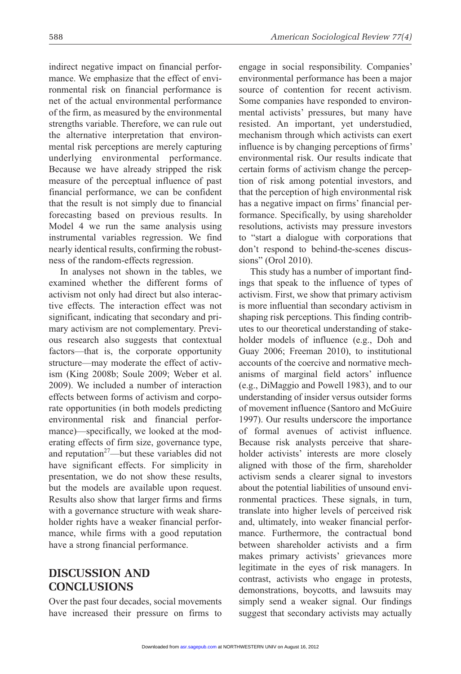indirect negative impact on financial performance. We emphasize that the effect of environmental risk on financial performance is net of the actual environmental performance of the firm, as measured by the environmental strengths variable. Therefore, we can rule out the alternative interpretation that environmental risk perceptions are merely capturing underlying environmental performance. Because we have already stripped the risk measure of the perceptual influence of past financial performance, we can be confident that the result is not simply due to financial forecasting based on previous results. In Model 4 we run the same analysis using instrumental variables regression. We find nearly identical results, confirming the robustness of the random-effects regression.

In analyses not shown in the tables, we examined whether the different forms of activism not only had direct but also interactive effects. The interaction effect was not significant, indicating that secondary and primary activism are not complementary. Previous research also suggests that contextual factors—that is, the corporate opportunity structure—may moderate the effect of activism (King 2008b; Soule 2009; Weber et al. 2009). We included a number of interaction effects between forms of activism and corporate opportunities (in both models predicting environmental risk and financial performance)—specifically, we looked at the moderating effects of firm size, governance type, and reputation $27$ —but these variables did not have significant effects. For simplicity in presentation, we do not show these results, but the models are available upon request. Results also show that larger firms and firms with a governance structure with weak shareholder rights have a weaker financial performance, while firms with a good reputation have a strong financial performance.

## **Discussion and Conclusions**

Over the past four decades, social movements have increased their pressure on firms to engage in social responsibility. Companies' environmental performance has been a major source of contention for recent activism. Some companies have responded to environmental activists' pressures, but many have resisted. An important, yet understudied, mechanism through which activists can exert influence is by changing perceptions of firms' environmental risk. Our results indicate that certain forms of activism change the perception of risk among potential investors, and that the perception of high environmental risk has a negative impact on firms' financial performance. Specifically, by using shareholder resolutions, activists may pressure investors to "start a dialogue with corporations that don't respond to behind-the-scenes discussions" (Orol 2010).

This study has a number of important findings that speak to the influence of types of activism. First, we show that primary activism is more influential than secondary activism in shaping risk perceptions. This finding contributes to our theoretical understanding of stakeholder models of influence (e.g., Doh and Guay 2006; Freeman 2010), to institutional accounts of the coercive and normative mechanisms of marginal field actors' influence (e.g., DiMaggio and Powell 1983), and to our understanding of insider versus outsider forms of movement influence (Santoro and McGuire 1997). Our results underscore the importance of formal avenues of activist influence. Because risk analysts perceive that shareholder activists' interests are more closely aligned with those of the firm, shareholder activism sends a clearer signal to investors about the potential liabilities of unsound environmental practices. These signals, in turn, translate into higher levels of perceived risk and, ultimately, into weaker financial performance. Furthermore, the contractual bond between shareholder activists and a firm makes primary activists' grievances more legitimate in the eyes of risk managers. In contrast, activists who engage in protests, demonstrations, boycotts, and lawsuits may simply send a weaker signal. Our findings suggest that secondary activists may actually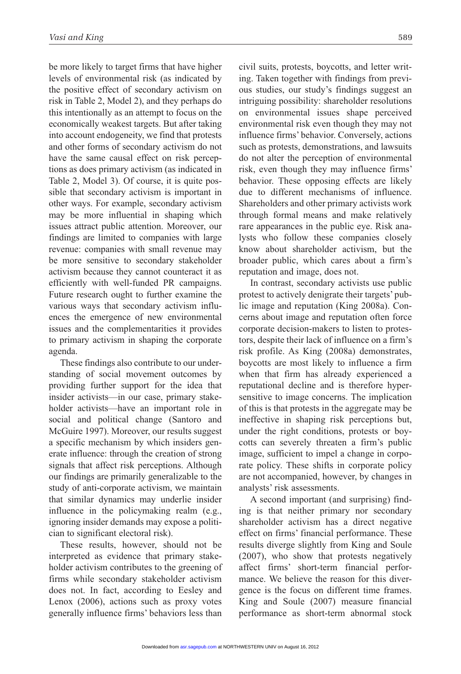be more likely to target firms that have higher levels of environmental risk (as indicated by the positive effect of secondary activism on risk in Table 2, Model 2), and they perhaps do this intentionally as an attempt to focus on the economically weakest targets. But after taking into account endogeneity, we find that protests and other forms of secondary activism do not have the same causal effect on risk perceptions as does primary activism (as indicated in Table 2, Model 3). Of course, it is quite possible that secondary activism is important in other ways. For example, secondary activism may be more influential in shaping which issues attract public attention. Moreover, our findings are limited to companies with large revenue: companies with small revenue may be more sensitive to secondary stakeholder activism because they cannot counteract it as efficiently with well-funded PR campaigns. Future research ought to further examine the various ways that secondary activism influences the emergence of new environmental issues and the complementarities it provides to primary activism in shaping the corporate agenda.

These findings also contribute to our understanding of social movement outcomes by providing further support for the idea that insider activists—in our case, primary stakeholder activists—have an important role in social and political change (Santoro and McGuire 1997). Moreover, our results suggest a specific mechanism by which insiders generate influence: through the creation of strong signals that affect risk perceptions. Although our findings are primarily generalizable to the study of anti-corporate activism, we maintain that similar dynamics may underlie insider influence in the policymaking realm (e.g., ignoring insider demands may expose a politician to significant electoral risk).

These results, however, should not be interpreted as evidence that primary stakeholder activism contributes to the greening of firms while secondary stakeholder activism does not. In fact, according to Eesley and Lenox (2006), actions such as proxy votes generally influence firms' behaviors less than civil suits, protests, boycotts, and letter writing. Taken together with findings from previous studies, our study's findings suggest an intriguing possibility: shareholder resolutions on environmental issues shape perceived environmental risk even though they may not influence firms' behavior. Conversely, actions such as protests, demonstrations, and lawsuits do not alter the perception of environmental risk, even though they may influence firms' behavior. These opposing effects are likely due to different mechanisms of influence. Shareholders and other primary activists work through formal means and make relatively rare appearances in the public eye. Risk analysts who follow these companies closely know about shareholder activism, but the broader public, which cares about a firm's reputation and image, does not.

In contrast, secondary activists use public protest to actively denigrate their targets' public image and reputation (King 2008a). Concerns about image and reputation often force corporate decision-makers to listen to protestors, despite their lack of influence on a firm's risk profile. As King (2008a) demonstrates, boycotts are most likely to influence a firm when that firm has already experienced a reputational decline and is therefore hypersensitive to image concerns. The implication of this is that protests in the aggregate may be ineffective in shaping risk perceptions but, under the right conditions, protests or boycotts can severely threaten a firm's public image, sufficient to impel a change in corporate policy. These shifts in corporate policy are not accompanied, however, by changes in analysts' risk assessments.

A second important (and surprising) finding is that neither primary nor secondary shareholder activism has a direct negative effect on firms' financial performance. These results diverge slightly from King and Soule (2007), who show that protests negatively affect firms' short-term financial performance. We believe the reason for this divergence is the focus on different time frames. King and Soule (2007) measure financial performance as short-term abnormal stock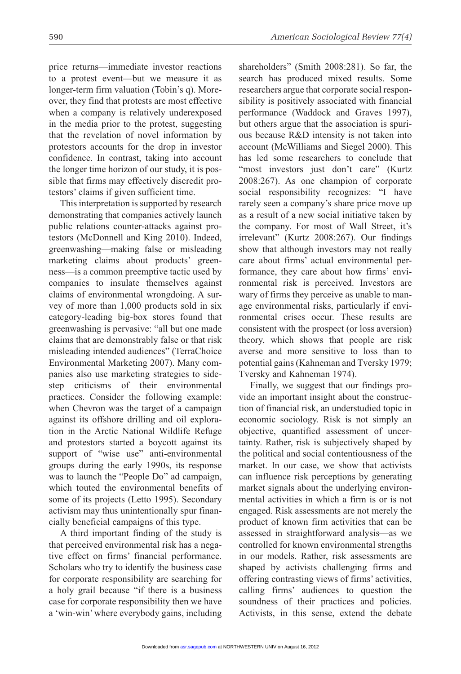price returns—immediate investor reactions to a protest event—but we measure it as longer-term firm valuation (Tobin's q). Moreover, they find that protests are most effective when a company is relatively underexposed in the media prior to the protest, suggesting that the revelation of novel information by protestors accounts for the drop in investor confidence. In contrast, taking into account the longer time horizon of our study, it is possible that firms may effectively discredit protestors' claims if given sufficient time.

This interpretation is supported by research demonstrating that companies actively launch public relations counter-attacks against protestors (McDonnell and King 2010). Indeed, greenwashing—making false or misleading marketing claims about products' greenness—is a common preemptive tactic used by companies to insulate themselves against claims of environmental wrongdoing. A survey of more than 1,000 products sold in six category-leading big-box stores found that greenwashing is pervasive: "all but one made claims that are demonstrably false or that risk misleading intended audiences" (TerraChoice Environmental Marketing 2007). Many companies also use marketing strategies to sidestep criticisms of their environmental practices. Consider the following example: when Chevron was the target of a campaign against its offshore drilling and oil exploration in the Arctic National Wildlife Refuge and protestors started a boycott against its support of "wise use" anti-environmental groups during the early 1990s, its response was to launch the "People Do" ad campaign, which touted the environmental benefits of some of its projects (Letto 1995). Secondary activism may thus unintentionally spur financially beneficial campaigns of this type.

A third important finding of the study is that perceived environmental risk has a negative effect on firms' financial performance. Scholars who try to identify the business case for corporate responsibility are searching for a holy grail because "if there is a business case for corporate responsibility then we have a 'win-win' where everybody gains, including shareholders" (Smith 2008:281). So far, the search has produced mixed results. Some researchers argue that corporate social responsibility is positively associated with financial performance (Waddock and Graves 1997), but others argue that the association is spurious because R&D intensity is not taken into account (McWilliams and Siegel 2000). This has led some researchers to conclude that "most investors just don't care" (Kurtz 2008:267). As one champion of corporate social responsibility recognizes: "I have rarely seen a company's share price move up as a result of a new social initiative taken by the company. For most of Wall Street, it's irrelevant" (Kurtz 2008:267). Our findings show that although investors may not really care about firms' actual environmental performance, they care about how firms' environmental risk is perceived. Investors are wary of firms they perceive as unable to manage environmental risks, particularly if environmental crises occur. These results are consistent with the prospect (or loss aversion) theory, which shows that people are risk averse and more sensitive to loss than to potential gains (Kahneman and Tversky 1979; Tversky and Kahneman 1974).

Finally, we suggest that our findings provide an important insight about the construction of financial risk, an understudied topic in economic sociology. Risk is not simply an objective, quantified assessment of uncertainty. Rather, risk is subjectively shaped by the political and social contentiousness of the market. In our case, we show that activists can influence risk perceptions by generating market signals about the underlying environmental activities in which a firm is or is not engaged. Risk assessments are not merely the product of known firm activities that can be assessed in straightforward analysis—as we controlled for known environmental strengths in our models. Rather, risk assessments are shaped by activists challenging firms and offering contrasting views of firms' activities, calling firms' audiences to question the soundness of their practices and policies. Activists, in this sense, extend the debate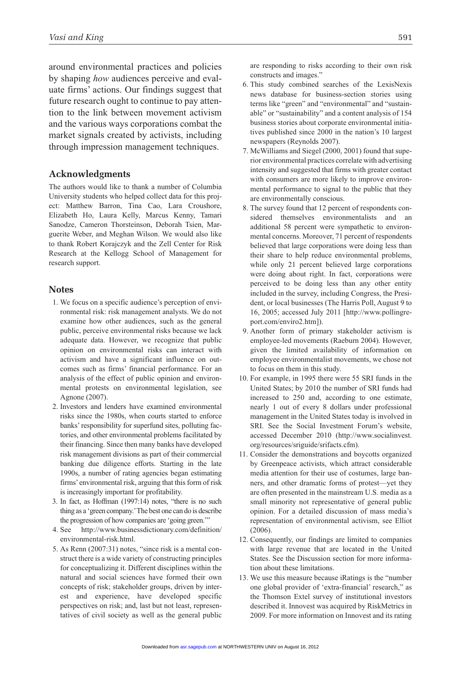around environmental practices and policies by shaping *how* audiences perceive and evaluate firms' actions. Our findings suggest that future research ought to continue to pay attention to the link between movement activism and the various ways corporations combat the market signals created by activists, including through impression management techniques.

#### **Acknowledgments**

The authors would like to thank a number of Columbia University students who helped collect data for this project: Matthew Barron, Tina Cao, Lara Croushore, Elizabeth Ho, Laura Kelly, Marcus Kenny, Tamari Sanodze, Cameron Thorsteinson, Deborah Tsien, Marguerite Weber, and Meghan Wilson. We would also like to thank Robert Korajczyk and the Zell Center for Risk Research at the Kellogg School of Management for research support.

#### **Notes**

- 1. We focus on a specific audience's perception of environmental risk: risk management analysts. We do not examine how other audiences, such as the general public, perceive environmental risks because we lack adequate data. However, we recognize that public opinion on environmental risks can interact with activism and have a significant influence on outcomes such as firms' financial performance. For an analysis of the effect of public opinion and environmental protests on environmental legislation, see Agnone (2007).
- 2. Investors and lenders have examined environmental risks since the 1980s, when courts started to enforce banks' responsibility for superfund sites, polluting factories, and other environmental problems facilitated by their financing. Since then many banks have developed risk management divisions as part of their commercial banking due diligence efforts. Starting in the late 1990s, a number of rating agencies began estimating firms' environmental risk, arguing that this form of risk is increasingly important for profitability.
- 3. In fact, as Hoffman (1997:14) notes, "there is no such thing as a 'green company.' The best one can do is describe the progression of how companies are 'going green.'"
- 4. See http://www.businessdictionary.com/definition/ environmental-risk.html.
- 5. As Renn (2007:31) notes, "since risk is a mental construct there is a wide variety of constructing principles for conceptualizing it. Different disciplines within the natural and social sciences have formed their own concepts of risk; stakeholder groups, driven by interest and experience, have developed specific perspectives on risk; and, last but not least, representatives of civil society as well as the general public

are responding to risks according to their own risk constructs and images."

- 6. This study combined searches of the LexisNexis news database for business-section stories using terms like "green" and "environmental" and "sustainable" or "sustainability" and a content analysis of 154 business stories about corporate environmental initiatives published since 2000 in the nation's 10 largest newspapers (Reynolds 2007).
- 7. McWilliams and Siegel (2000, 2001) found that superior environmental practices correlate with advertising intensity and suggested that firms with greater contact with consumers are more likely to improve environmental performance to signal to the public that they are environmentally conscious.
- 8. The survey found that 12 percent of respondents considered themselves environmentalists and an additional 58 percent were sympathetic to environmental concerns. Moreover, 71 percent of respondents believed that large corporations were doing less than their share to help reduce environmental problems, while only 21 percent believed large corporations were doing about right. In fact, corporations were perceived to be doing less than any other entity included in the survey, including Congress, the President, or local businesses (The Harris Poll, August 9 to 16, 2005; accessed July 2011 [http://www.pollingreport.com/enviro2.htm]).
- 9. Another form of primary stakeholder activism is employee-led movements (Raeburn 2004). However, given the limited availability of information on employee environmentalist movements, we chose not to focus on them in this study.
- 10. For example, in 1995 there were 55 SRI funds in the United States; by 2010 the number of SRI funds had increased to 250 and, according to one estimate, nearly 1 out of every 8 dollars under professional management in the United States today is involved in SRI. See the Social Investment Forum's website, accessed December 2010 (http://www.socialinvest. org/resources/sriguide/srifacts.cfm).
- 11. Consider the demonstrations and boycotts organized by Greenpeace activists, which attract considerable media attention for their use of costumes, large banners, and other dramatic forms of protest—yet they are often presented in the mainstream U.S. media as a small minority not representative of general public opinion. For a detailed discussion of mass media's representation of environmental activism, see Elliot (2006).
- 12. Consequently, our findings are limited to companies with large revenue that are located in the United States. See the Discussion section for more information about these limitations.
- 13. We use this measure because iRatings is the "number one global provider of 'extra-financial' research," as the Thomson Extel survey of institutional investors described it. Innovest was acquired by RiskMetrics in 2009. For more information on Innovest and its rating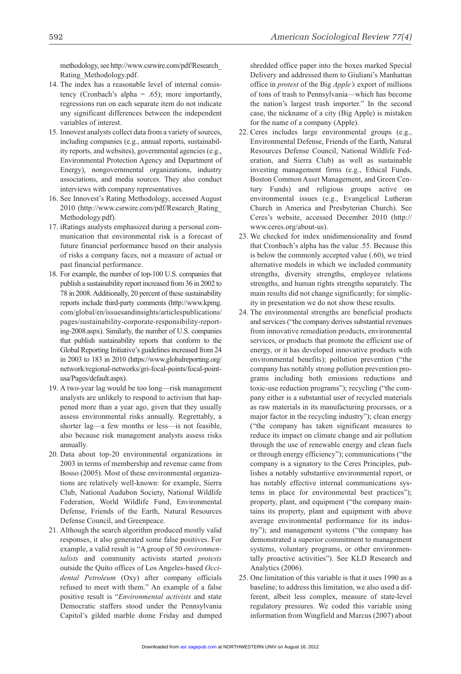methodology, see http://www.csrwire.com/pdf/Research\_ Rating\_Methodology.pdf.

- 14. The index has a reasonable level of internal consistency (Cronbach's alpha = .65); more importantly, regressions run on each separate item do not indicate any significant differences between the independent variables of interest.
- 15. Innovest analysts collect data from a variety of sources, including companies (e.g., annual reports, sustainability reports, and websites), governmental agencies (e.g., Environmental Protection Agency and Department of Energy), nongovernmental organizations, industry associations, and media sources. They also conduct interviews with company representatives.
- 16. See Innovest's Rating Methodology, accessed August 2010 (http://www.csrwire.com/pdf/Research\_Rating\_ Methodology.pdf).
- 17. iRatings analysts emphasized during a personal communication that environmental risk is a forecast of future financial performance based on their analysis of risks a company faces, not a measure of actual or past financial performance.
- 18. For example, the number of top-100 U.S. companies that publish a sustainability report increased from 36 in 2002 to 78 in 2008. Additionally, 20 percent of these sustainability reports include third-party comments (http://www.kpmg. com/global/en/issuesandinsights/articlespublications/ pages/sustainability-corporate-responsibility-reporting-2008.aspx). Similarly, the number of U.S. companies that publish sustainability reports that conform to the Global Reporting Initiative's guidelines increased from 24 in 2003 to 183 in 2010 (https://www.globalreporting.org/ network/regional-networks/gri-focal-points/focal-pointusa/Pages/default.aspx).
- 19. A two-year lag would be too long—risk management analysts are unlikely to respond to activism that happened more than a year ago, given that they usually assess environmental risks annually. Regrettably, a shorter lag—a few months or less—is not feasible, also because risk management analysts assess risks annually.
- 20. Data about top-20 environmental organizations in 2003 in terms of membership and revenue came from Bosso (2005). Most of these environmental organizations are relatively well-known: for example, Sierra Club, National Audubon Society, National Wildlife Federation, World Wildlife Fund, Environmental Defense, Friends of the Earth, Natural Resources Defense Council, and Greenpeace.
- 21. Although the search algorithm produced mostly valid responses, it also generated some false positives. For example, a valid result is "A group of 50 *environmentalists* and community activists started *protests* outside the Quito offices of Los Angeles-based *Occidental Petroleum* (Oxy) after company officials refused to meet with them." An example of a false positive result is "*Environmental activists* and state Democratic staffers stood under the Pennsylvania Capitol's gilded marble dome Friday and dumped

shredded office paper into the boxes marked Special Delivery and addressed them to Giuliani's Manhattan office in *protest* of the Big *Apple's* export of millions of tons of trash to Pennsylvania—which has become the nation's largest trash importer." In the second case, the nickname of a city (Big Apple) is mistaken for the name of a company (Apple).

- 22. Ceres includes large environmental groups (e.g., Environmental Defense, Friends of the Earth, Natural Resources Defense Council, National Wildlife Federation, and Sierra Club) as well as sustainable investing management firms (e.g., Ethical Funds, Boston Common Asset Management, and Green Century Funds) and religious groups active on environmental issues (e.g., Evangelical Lutheran Church in America and Presbyterian Church). See Ceres's website, accessed December 2010 (http:// www.ceres.org/about-us).
- 23. We checked for index unidimensionality and found that Cronbach's alpha has the value .55. Because this is below the commonly accepted value (.60), we tried alternative models in which we included community strengths, diversity strengths, employee relations strengths, and human rights strengths separately. The main results did not change significantly; for simplicity in presentation we do not show these results.
- 24. The environmental strengths are beneficial products and services ("the company derives substantial revenues from innovative remediation products, environmental services, or products that promote the efficient use of energy, or it has developed innovative products with environmental benefits); pollution prevention ("the company has notably strong pollution prevention programs including both emissions reductions and toxic-use reduction programs"); recycling ("the company either is a substantial user of recycled materials as raw materials in its manufacturing processes, or a major factor in the recycling industry"); clean energy ("the company has taken significant measures to reduce its impact on climate change and air pollution through the use of renewable energy and clean fuels or through energy efficiency"); communications ("the company is a signatory to the Ceres Principles, publishes a notably substantive environmental report, or has notably effective internal communications systems in place for environmental best practices"); property, plant, and equipment ("the company maintains its property, plant and equipment with above average environmental performance for its industry"); and management systems ("the company has demonstrated a superior commitment to management systems, voluntary programs, or other environmentally proactive activities"). See KLD Research and Analytics (2006).
- 25. One limitation of this variable is that it uses 1990 as a baseline; to address this limitation, we also used a different, albeit less complex, measure of state-level regulatory pressures. We coded this variable using information from Wingfield and Marcus (2007) about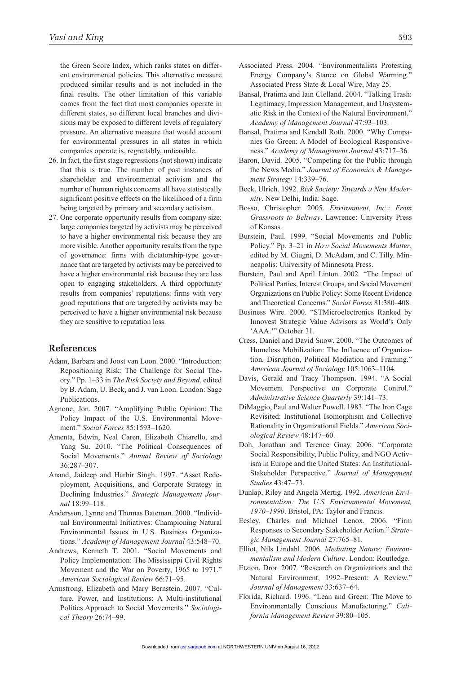the Green Score Index, which ranks states on different environmental policies. This alternative measure produced similar results and is not included in the final results. The other limitation of this variable comes from the fact that most companies operate in different states, so different local branches and divisions may be exposed to different levels of regulatory pressure. An alternative measure that would account for environmental pressures in all states in which companies operate is, regrettably, unfeasible.

- 26. In fact, the first stage regressions (not shown) indicate that this is true. The number of past instances of shareholder and environmental activism and the number of human rights concerns all have statistically significant positive effects on the likelihood of a firm being targeted by primary and secondary activism.
- 27. One corporate opportunity results from company size: large companies targeted by activists may be perceived to have a higher environmental risk because they are more visible. Another opportunity results from the type of governance: firms with dictatorship-type governance that are targeted by activists may be perceived to have a higher environmental risk because they are less open to engaging stakeholders. A third opportunity results from companies' reputations: firms with very good reputations that are targeted by activists may be perceived to have a higher environmental risk because they are sensitive to reputation loss.

#### **References**

- Adam, Barbara and Joost van Loon. 2000. "Introduction: Repositioning Risk: The Challenge for Social Theory." Pp. 1–33 in *The Risk Society and Beyond,* edited by B. Adam, U. Beck, and J. van Loon. London: Sage Publications.
- Agnone, Jon. 2007. "Amplifying Public Opinion: The Policy Impact of the U.S. Environmental Movement." *Social Forces* 85:1593–1620.
- Amenta, Edwin, Neal Caren, Elizabeth Chiarello, and Yang Su. 2010. "The Political Consequences of Social Movements." *Annual Review of Sociology* 36:287–307.
- Anand, Jaideep and Harbir Singh. 1997. "Asset Redeployment, Acquisitions, and Corporate Strategy in Declining Industries." *Strategic Management Journal* 18:99–118.
- Andersson, Lynne and Thomas Bateman. 2000. "Individual Environmental Initiatives: Championing Natural Environmental Issues in U.S. Business Organizations." *Academy of Management Journal* 43:548–70.
- Andrews, Kenneth T. 2001. "Social Movements and Policy Implementation: The Mississippi Civil Rights Movement and the War on Poverty, 1965 to 1971." *American Sociological Review* 66:71–95.
- Armstrong, Elizabeth and Mary Bernstein. 2007. "Culture, Power, and Institutions: A Multi-institutional Politics Approach to Social Movements." *Sociological Theory* 26:74–99.
- Associated Press. 2004. "Environmentalists Protesting Energy Company's Stance on Global Warming." Associated Press State & Local Wire, May 25.
- Bansal, Pratima and Iain Clelland. 2004. "Talking Trash: Legitimacy, Impression Management, and Unsystematic Risk in the Context of the Natural Environment." *Academy of Management Journal* 47:93–103.
- Bansal, Pratima and Kendall Roth. 2000. "Why Companies Go Green: A Model of Ecological Responsiveness." *Academy of Management Journal* 43:717–36.
- Baron, David. 2005. "Competing for the Public through the News Media." *Journal of Economics & Management Strategy* 14:339–76.
- Beck, Ulrich. 1992. *Risk Society: Towards a New Modernity*. New Delhi, India: Sage.
- Bosso, Christopher. 2005. *Environment, Inc.: From Grassroots to Beltway*. Lawrence: University Press of Kansas.
- Burstein, Paul. 1999. "Social Movements and Public Policy." Pp. 3–21 in *How Social Movements Matter*, edited by M. Giugni, D. McAdam, and C. Tilly. Minneapolis: University of Minnesota Press.
- Burstein, Paul and April Linton. 2002. "The Impact of Political Parties, Interest Groups, and Social Movement Organizations on Public Policy: Some Recent Evidence and Theoretical Concerns." *Social Forces* 81:380–408.
- Business Wire. 2000. "STMicroelectronics Ranked by Innovest Strategic Value Advisors as World's Only 'AAA.'" October 31.
- Cress, Daniel and David Snow. 2000. "The Outcomes of Homeless Mobilization: The Influence of Organization, Disruption, Political Mediation and Framing." *American Journal of Sociology* 105:1063–1104.
- Davis, Gerald and Tracy Thompson. 1994. "A Social Movement Perspective on Corporate Control." *Administrative Science Quarterly* 39:141–73.
- DiMaggio, Paul and Walter Powell. 1983. "The Iron Cage Revisited: Institutional Isomorphism and Collective Rationality in Organizational Fields." *American Sociological Review* 48:147–60.
- Doh, Jonathan and Terence Guay. 2006. "Corporate Social Responsibility, Public Policy, and NGO Activism in Europe and the United States: An Institutional-Stakeholder Perspective." *Journal of Management Studies* 43:47–73.
- Dunlap, Riley and Angela Mertig. 1992. *American Environmentalism: The U.S. Environmental Movement, 1970–1990*. Bristol, PA: Taylor and Francis.
- Eesley, Charles and Michael Lenox. 2006. "Firm Responses to Secondary Stakeholder Action." *Strategic Management Journal* 27:765–81.
- Elliot, Nils Lindahl. 2006. *Mediating Nature: Environmentalism and Modern Culture*. London: Routledge.
- Etzion, Dror. 2007. "Research on Organizations and the Natural Environment, 1992–Present: A Review." *Journal of Management* 33:637–64.
- Florida, Richard. 1996. "Lean and Green: The Move to Environmentally Conscious Manufacturing." *California Management Review* 39:80–105.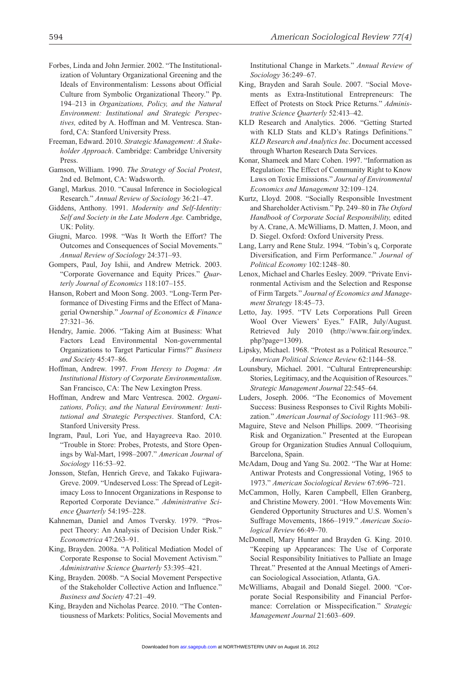- Forbes, Linda and John Jermier. 2002. "The Institutionalization of Voluntary Organizational Greening and the Ideals of Environmentalism: Lessons about Official Culture from Symbolic Organizational Theory." Pp. 194–213 in *Organizations, Policy, and the Natural Environment: Institutional and Strategic Perspectives,* edited by A. Hoffman and M. Ventresca. Stanford, CA: Stanford University Press.
- Freeman, Edward. 2010. *Strategic Management: A Stakeholder Approach*. Cambridge: Cambridge University Press.
- Gamson, William. 1990. *The Strategy of Social Protest*, 2nd ed. Belmont, CA: Wadsworth.
- Gangl, Markus. 2010. "Causal Inference in Sociological Research." *Annual Review of Sociology* 36:21–47.
- Giddens, Anthony. 1991. *Modernity and Self-Identity: Self and Society in the Late Modern Age.* Cambridge, UK: Polity.
- Giugni, Marco. 1998. "Was It Worth the Effort? The Outcomes and Consequences of Social Movements." *Annual Review of Sociology* 24:371–93.
- Gompers, Paul, Joy Ishii, and Andrew Metrick. 2003. "Corporate Governance and Equity Prices." *Quarterly Journal of Economics* 118:107–155.
- Hanson, Robert and Moon Song. 2003. "Long-Term Performance of Divesting Firms and the Effect of Managerial Ownership." *Journal of Economics & Finance* 27:321–36.
- Hendry, Jamie. 2006. "Taking Aim at Business: What Factors Lead Environmental Non-governmental Organizations to Target Particular Firms?" *Business and Society* 45:47–86.
- Hoffman, Andrew. 1997. *From Heresy to Dogma: An Institutional History of Corporate Environmentalism*. San Francisco, CA: The New Lexington Press.
- Hoffman, Andrew and Marc Ventresca. 2002. *Organizations, Policy, and the Natural Environment: Institutional and Strategic Perspectives*. Stanford, CA: Stanford University Press.
- Ingram, Paul, Lori Yue, and Hayagreeva Rao. 2010. "Trouble in Store: Probes, Protests, and Store Openings by Wal-Mart, 1998–2007." *American Journal of Sociology* 116:53–92.
- Jonsson, Stefan, Henrich Greve, and Takako Fujiwara-Greve. 2009. "Undeserved Loss: The Spread of Legitimacy Loss to Innocent Organizations in Response to Reported Corporate Deviance." *Administrative Science Quarterly* 54:195–228.
- Kahneman, Daniel and Amos Tversky. 1979. "Prospect Theory: An Analysis of Decision Under Risk." *Econometrica* 47:263–91.
- King, Brayden. 2008a. "A Political Mediation Model of Corporate Response to Social Movement Activism." *Administrative Science Quarterly* 53:395–421.
- King, Brayden. 2008b. "A Social Movement Perspective of the Stakeholder Collective Action and Influence." *Business and Society* 47:21–49.
- King, Brayden and Nicholas Pearce. 2010. "The Contentiousness of Markets: Politics, Social Movements and

Institutional Change in Markets." *Annual Review of Sociology* 36:249–67.

- King, Brayden and Sarah Soule. 2007. "Social Movements as Extra-Institutional Entrepreneurs: The Effect of Protests on Stock Price Returns." *Administrative Science Quarterly* 52:413–42.
- KLD Research and Analytics. 2006. "Getting Started with KLD Stats and KLD's Ratings Definitions." *KLD Research and Analytics Inc*. Document accessed through Wharton Research Data Services.
- Konar, Shameek and Marc Cohen. 1997. "Information as Regulation: The Effect of Community Right to Know Laws on Toxic Emissions." *Journal of Environmental Economics and Management* 32:109–124.
- Kurtz, Lloyd. 2008. "Socially Responsible Investment and Shareholder Activism." Pp. 249–80 in *The Oxford Handbook of Corporate Social Responsibility,* edited by A. Crane, A. McWilliams, D. Matten, J. Moon, and D. Siegel. Oxford: Oxford University Press.
- Lang, Larry and Rene Stulz. 1994. "Tobin's q, Corporate Diversification, and Firm Performance." *Journal of Political Economy* 102:1248–80.
- Lenox, Michael and Charles Eesley. 2009. "Private Environmental Activism and the Selection and Response of Firm Targets." *Journal of Economics and Management Strategy* 18:45–73.
- Letto, Jay. 1995. "TV Lets Corporations Pull Green Wool Over Viewers' Eyes." FAIR, July/August. Retrieved July 2010 (http://www.fair.org/index. php?page=1309).
- Lipsky, Michael. 1968. "Protest as a Political Resource." *American Political Science Review* 62:1144–58.
- Lounsbury, Michael. 2001. "Cultural Entrepreneurship: Stories, Legitimacy, and the Acquisition of Resources." *Strategic Management Journal* 22:545–64.
- Luders, Joseph. 2006. "The Economics of Movement Success: Business Responses to Civil Rights Mobilization." *American Journal of Sociology* 111:963–98.
- Maguire, Steve and Nelson Phillips. 2009. "Theorising Risk and Organization." Presented at the European Group for Organization Studies Annual Colloquium, Barcelona, Spain.
- McAdam, Doug and Yang Su. 2002. "The War at Home: Antiwar Protests and Congressional Voting, 1965 to 1973." *American Sociological Review* 67:696–721.
- McCammon, Holly, Karen Campbell, Ellen Granberg, and Christine Mowery. 2001. "How Movements Win: Gendered Opportunity Structures and U.S. Women's Suffrage Movements, 1866–1919." *American Sociological Review* 66:49–70.
- McDonnell, Mary Hunter and Brayden G. King. 2010. "Keeping up Appearances: The Use of Corporate Social Responsibility Initiatives to Palliate an Image Threat." Presented at the Annual Meetings of American Sociological Association, Atlanta, GA.
- McWilliams, Abagail and Donald Siegel. 2000. "Corporate Social Responsibility and Financial Performance: Correlation or Misspecification." *Strategic Management Journal* 21:603–609.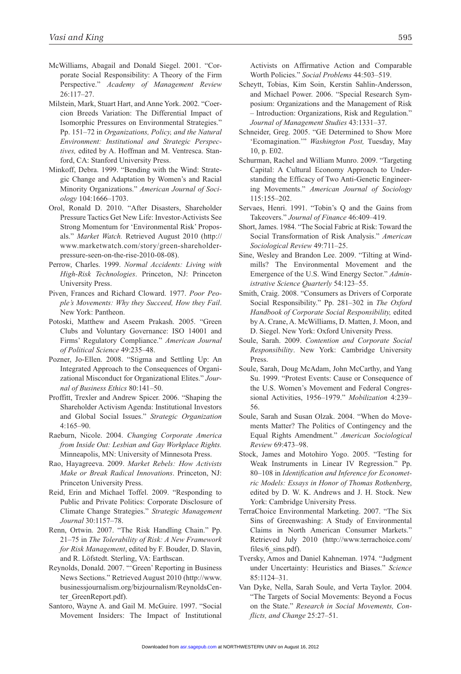- McWilliams, Abagail and Donald Siegel. 2001. "Corporate Social Responsibility: A Theory of the Firm Perspective." *Academy of Management Review* 26:117–27.
- Milstein, Mark, Stuart Hart, and Anne York. 2002. "Coercion Breeds Variation: The Differential Impact of Isomorphic Pressures on Environmental Strategies." Pp. 151–72 in *Organizations, Policy, and the Natural Environment: Institutional and Strategic Perspectives,* edited by A. Hoffman and M. Ventresca. Stanford, CA: Stanford University Press.
- Minkoff, Debra. 1999. "Bending with the Wind: Strategic Change and Adaptation by Women's and Racial Minority Organizations." *American Journal of Sociology* 104:1666–1703.
- Orol, Ronald D. 2010. "After Disasters, Shareholder Pressure Tactics Get New Life: Investor-Activists See Strong Momentum for 'Environmental Risk' Proposals." *Market Watch.* Retrieved August 2010 (http:// www.marketwatch.com/story/green-shareholderpressure-seen-on-the-rise-2010-08-08).
- Perrow, Charles. 1999. *Normal Accidents: Living with High-Risk Technologies*. Princeton, NJ: Princeton University Press.
- Piven, Frances and Richard Cloward. 1977. *Poor People's Movements: Why they Succeed, How they Fail*. New York: Pantheon.
- Potoski, Matthew and Aseem Prakash. 2005. "Green Clubs and Voluntary Governance: ISO 14001 and Firms' Regulatory Compliance." *American Journal of Political Science* 49:235–48.
- Pozner, Jo-Ellen. 2008. "Stigma and Settling Up: An Integrated Approach to the Consequences of Organizational Misconduct for Organizational Elites." *Journal of Business Ethics* 80:141–50.
- Proffitt, Trexler and Andrew Spicer. 2006. "Shaping the Shareholder Activism Agenda: Institutional Investors and Global Social Issues." *Strategic Organization* 4:165–90.
- Raeburn, Nicole. 2004. *Changing Corporate America from Inside Out: Lesbian and Gay Workplace Rights.* Minneapolis, MN: University of Minnesota Press.
- Rao, Hayagreeva. 2009. *Market Rebels: How Activists Make or Break Radical Innovations*. Princeton, NJ: Princeton University Press.
- Reid, Erin and Michael Toffel. 2009. "Responding to Public and Private Politics: Corporate Disclosure of Climate Change Strategies." *Strategic Management Journal* 30:1157–78.
- Renn, Ortwin. 2007. "The Risk Handling Chain." Pp. 21–75 in *The Tolerability of Risk: A New Framework for Risk Management*, edited by F. Bouder, D. Slavin, and R. Löfstedt. Sterling, VA: Earthscan.
- Reynolds, Donald. 2007. "'Green' Reporting in Business News Sections." Retrieved August 2010 (http://www. businessjournalism.org/bizjournalism/ReynoldsCenter GreenReport.pdf).
- Santoro, Wayne A. and Gail M. McGuire. 1997. "Social Movement Insiders: The Impact of Institutional

Activists on Affirmative Action and Comparable Worth Policies." *Social Problems* 44:503–519.

- Scheytt, Tobias, Kim Soin, Kerstin Sahlin-Andersson, and Michael Power. 2006. "Special Research Symposium: Organizations and the Management of Risk – Introduction: Organizations, Risk and Regulation." *Journal of Management Studies* 43:1331–37.
- Schneider, Greg. 2005. "GE Determined to Show More 'Ecomagination.'" *Washington Post,* Tuesday, May 10, p. E02.
- Schurman, Rachel and William Munro. 2009. "Targeting Capital: A Cultural Economy Approach to Understanding the Efficacy of Two Anti-Genetic Engineering Movements." *American Journal of Sociology* 115:155–202.
- Servaes, Henri. 1991. "Tobin's Q and the Gains from Takeovers." *Journal of Finance* 46:409–419.
- Short, James. 1984. "The Social Fabric at Risk: Toward the Social Transformation of Risk Analysis." *American Sociological Review* 49:711–25.
- Sine, Wesley and Brandon Lee. 2009. "Tilting at Windmills? The Environmental Movement and the Emergence of the U.S. Wind Energy Sector." *Administrative Science Quarterly* 54:123–55.
- Smith, Craig. 2008. "Consumers as Drivers of Corporate Social Responsibility." Pp. 281–302 in *The Oxford Handbook of Corporate Social Responsibility,* edited by A. Crane, A. McWilliams, D. Matten, J. Moon, and D. Siegel. New York: Oxford University Press.
- Soule, Sarah. 2009. *Contention and Corporate Social Responsibility*. New York: Cambridge University Press.
- Soule, Sarah, Doug McAdam, John McCarthy, and Yang Su. 1999. "Protest Events: Cause or Consequence of the U.S. Women's Movement and Federal Congressional Activities, 1956–1979." *Mobilization* 4:239– 56.
- Soule, Sarah and Susan Olzak. 2004. "When do Movements Matter? The Politics of Contingency and the Equal Rights Amendment." *American Sociological Review* 69:473–98.
- Stock, James and Motohiro Yogo. 2005. "Testing for Weak Instruments in Linear IV Regression." Pp. 80–108 in *Identification and Inference for Econometric Models: Essays in Honor of Thomas Rothenberg*, edited by D. W. K. Andrews and J. H. Stock. New York: Cambridge University Press.
- TerraChoice Environmental Marketing. 2007. "The Six Sins of Greenwashing: A Study of Environmental Claims in North American Consumer Markets." Retrieved July 2010 (http://www.terrachoice.com/ files/6\_sins.pdf).
- Tversky, Amos and Daniel Kahneman. 1974. "Judgment under Uncertainty: Heuristics and Biases." *Science* 85:1124–31.
- Van Dyke, Nella, Sarah Soule, and Verta Taylor. 2004. "The Targets of Social Movements: Beyond a Focus on the State." *Research in Social Movements, Conflicts, and Change* 25:27–51.